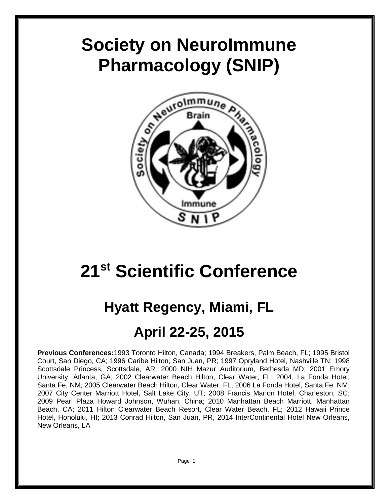# **Society on NeuroImmune Pharmacology (SNIP)**



# **21st Scientific Conference**

## **Hyatt Regency, Miami, FL**

## **April 22-25, 2015**

**Previous Conferences:**1993 Toronto Hilton, Canada; 1994 Breakers, Palm Beach, FL; 1995 Bristol Court, San Diego, CA; 1996 Caribe Hilton, San Juan, PR; 1997 Opryland Hotel, Nashville TN; 1998 Scottsdale Princess, Scottsdale, AR; 2000 NIH Mazur Auditorium, Bethesda MD; 2001 Emory University, Atlanta, GA; 2002 Clearwater Beach Hilton, Clear Water, FL; 2004, La Fonda Hotel, Santa Fe, NM; 2005 Clearwater Beach Hilton, Clear Water, FL; 2006 La Fonda Hotel, Santa Fe, NM; 2007 City Center Marriott Hotel, Salt Lake City, UT; 2008 Francis Marion Hotel, Charleston, SC; 2009 Pearl Plaza Howard Johnson, Wuhan, China; 2010 Manhattan Beach Marriott, Manhattan Beach, CA; 2011 Hilton Clearwater Beach Resort, Clear Water Beach, FL; 2012 Hawaii Prince Hotel, Honolulu, HI; 2013 Conrad Hilton, San Juan, PR, 2014 InterContinental Hotel New Orleans, New Orleans, LA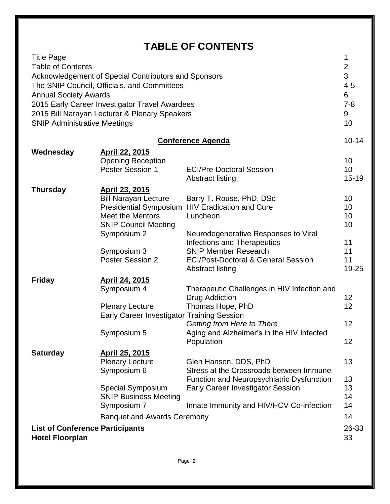## **TABLE OF CONTENTS**

| <b>Title Page</b><br><b>Table of Contents</b><br>Acknowledgement of Special Contributors and Sponsors<br>The SNIP Council, Officials, and Committees<br><b>Annual Society Awards</b><br>2015 Early Career Investigator Travel Awardees<br>2015 Bill Narayan Lecturer & Plenary Speakers<br><b>SNIP Administrative Meetings</b> |                                                                                                                                                                          |                                                                                                                                                                                                                                                                                   | 1<br>$\overline{\mathbf{c}}$<br>3<br>$4 - 5$<br>6<br>$7 - 8$<br>9<br>10 |
|--------------------------------------------------------------------------------------------------------------------------------------------------------------------------------------------------------------------------------------------------------------------------------------------------------------------------------|--------------------------------------------------------------------------------------------------------------------------------------------------------------------------|-----------------------------------------------------------------------------------------------------------------------------------------------------------------------------------------------------------------------------------------------------------------------------------|-------------------------------------------------------------------------|
| <b>Conference Agenda</b>                                                                                                                                                                                                                                                                                                       |                                                                                                                                                                          |                                                                                                                                                                                                                                                                                   | $10 - 14$                                                               |
| Wednesday                                                                                                                                                                                                                                                                                                                      | <b>April 22, 2015</b><br><b>Opening Reception</b><br><b>Poster Session 1</b>                                                                                             | <b>ECI/Pre-Doctoral Session</b><br><b>Abstract listing</b>                                                                                                                                                                                                                        | 10<br>10<br>$15 - 19$                                                   |
| <b>Thursday</b>                                                                                                                                                                                                                                                                                                                | April 23, 2015<br><b>Bill Narayan Lecture</b><br><b>Meet the Mentors</b><br><b>SNIP Council Meeting</b><br>Symposium 2<br>Symposium 3<br><b>Poster Session 2</b>         | Barry T. Rouse, PhD, DSc<br>Presidential Symposium HIV Eradication and Cure<br>Luncheon<br>Neurodegenerative Responses to Viral<br><b>Infections and Therapeutics</b><br><b>SNIP Member Research</b><br><b>ECI/Post-Doctoral &amp; General Session</b><br><b>Abstract listing</b> | 10<br>10<br>10<br>10<br>11<br>11<br>11<br>19-25                         |
| <b>Friday</b>                                                                                                                                                                                                                                                                                                                  | <b>April 24, 2015</b><br>Symposium 4<br><b>Plenary Lecture</b><br>Early Career Investigator Training Session<br>Symposium 5                                              | Therapeutic Challenges in HIV Infection and<br><b>Drug Addiction</b><br>Thomas Hope, PhD<br>Getting from Here to There<br>Aging and Alzheimer's in the HIV Infected<br>Population                                                                                                 | 12 <sub>2</sub><br>12<br>12<br>12                                       |
| <b>Saturday</b><br><b>List of Conference Participants</b><br><b>Hotel Floorplan</b>                                                                                                                                                                                                                                            | April 25, 2015<br><b>Plenary Lecture</b><br>Symposium 6<br><b>Special Symposium</b><br><b>SNIP Business Meeting</b><br>Symposium 7<br><b>Banquet and Awards Ceremony</b> | Glen Hanson, DDS, PhD<br>Stress at the Crossroads between Immune<br>Function and Neuropsychiatric Dysfunction<br><b>Early Career Investigator Session</b><br>Innate Immunity and HIV/HCV Co-infection                                                                             | 13<br>13<br>13<br>14<br>14<br>14<br>26-33<br>33                         |
|                                                                                                                                                                                                                                                                                                                                |                                                                                                                                                                          |                                                                                                                                                                                                                                                                                   |                                                                         |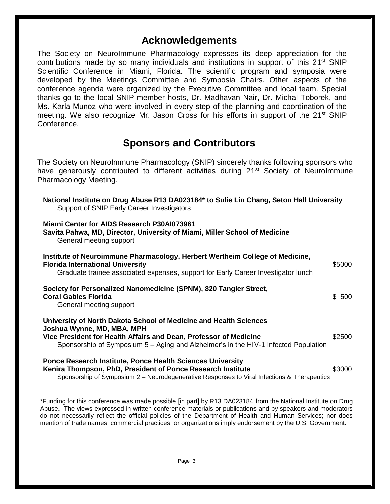## **Acknowledgements**

The Society on NeuroImmune Pharmacology expresses its deep appreciation for the contributions made by so many individuals and institutions in support of this 21<sup>st</sup> SNIP Scientific Conference in Miami, Florida. The scientific program and symposia were developed by the Meetings Committee and Symposia Chairs. Other aspects of the conference agenda were organized by the Executive Committee and local team. Special thanks go to the local SNIP-member hosts, Dr. Madhavan Nair, Dr. Michal Toborek, and Ms. Karla Munoz who were involved in every step of the planning and coordination of the meeting. We also recognize Mr. Jason Cross for his efforts in support of the 21<sup>st</sup> SNIP Conference.

### **Sponsors and Contributors**

The Society on NeuroImmune Pharmacology (SNIP) sincerely thanks following sponsors who have generously contributed to different activities during 21<sup>st</sup> Society of Neurolmmune Pharmacology Meeting.

| National Institute on Drug Abuse R13 DA023184* to Sulie Lin Chang, Seton Hall University<br>Support of SNIP Early Career Investigators                                                                                                                      |        |  |
|-------------------------------------------------------------------------------------------------------------------------------------------------------------------------------------------------------------------------------------------------------------|--------|--|
| Miami Center for AIDS Research P30AI073961<br>Savita Pahwa, MD, Director, University of Miami, Miller School of Medicine<br>General meeting support                                                                                                         |        |  |
| Institute of Neuroimmune Pharmacology, Herbert Wertheim College of Medicine,<br><b>Florida International University</b><br>Graduate trainee associated expenses, support for Early Career Investigator lunch                                                | \$5000 |  |
| Society for Personalized Nanomedicine (SPNM), 820 Tangier Street,<br><b>Coral Gables Florida</b><br>General meeting support                                                                                                                                 | \$500  |  |
| University of North Dakota School of Medicine and Health Sciences<br>Joshua Wynne, MD, MBA, MPH<br>Vice President for Health Affairs and Dean, Professor of Medicine<br>Sponsorship of Symposium 5 – Aging and Alzheimer's in the HIV-1 Infected Population | \$2500 |  |
| <b>Ponce Research Institute, Ponce Health Sciences University</b><br>Kenira Thompson, PhD, President of Ponce Research Institute<br>Sponsorship of Symposium 2 - Neurodegenerative Responses to Viral Infections & Therapeutics                             | \$3000 |  |

\*Funding for this conference was made possible [in part] by R13 DA023184 from the National Institute on Drug Abuse. The views expressed in written conference materials or publications and by speakers and moderators do not necessarily reflect the official policies of the Department of Health and Human Services; nor does mention of trade names, commercial practices, or organizations imply endorsement by the U.S. Government.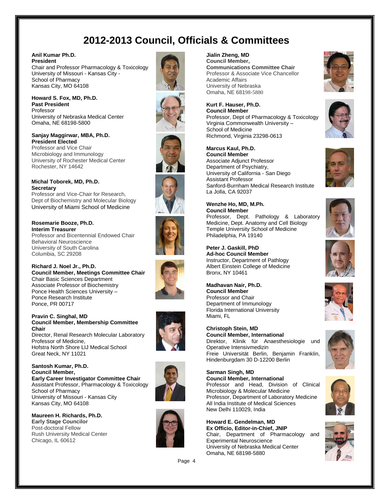## **2012-2013 Council, Officials & Committees**

#### **Anil Kumar Ph.D. President**

Chair and Professor Pharmacology & Toxicology University of Missouri - Kansas City - School of Pharmacy Kansas City, MO 64108

**Howard S. Fox, MD, Ph.D. Past President**  Professor University of Nebraska Medical Center Omaha, NE 68198-5800

**Sanjay Maggirwar, MBA, Ph.D. President Elected** Professor and Vice Chair Microbiology and Immunology University of Rochester Medical Center Rochester, NY 14642

#### **Michal Toborek, MD, Ph.D. Secretary**

Professor and Vice-Chair for Research, Dept of Biochemistry and Molecular Biology University of Miami School of Medicine

**Rosemarie Booze, Ph.D. Interim Treasurer**

Professor and Bicentennial Endowed Chair Behavioral Neuroscience University of South Carolina Columbia, SC 29208

**Richard J. Noel Jr., Ph.D. Council Member, Meetings Committee Chair** Chair Basic Sciences Department Associate Professor of Biochemistry Ponce Health Sciences University – Ponce Research Institute Ponce, PR 00717

#### **Pravin C. Singhal, MD Council Member, Membership Committee Chair**

Director, Renal Research Molecular Laboratory Professor of Medicine, Hofstra North Shore LIJ Medical School Great Neck, NY 11021

**Santosh Kumar, Ph.D. Council Member, Early Career Investigator Committee Chair** Assistant Professor, Pharmacology & Toxicology School of Pharmacy University of Missouri - Kansas City Kansas City, MO 64108

**Maureen H. Richards, Ph.D. Early Stage Councilor** Post-doctoral Fellow Rush University Medical Center Chicago, IL 60612



#### **Jialin Zheng, MD**

**Council Member, Communications Committee Chair** Professor & Associate Vice Chancellor Academic Affairs University of Nebraska Omaha, NE 68198-5880

#### **Kurt F. Hauser, Ph.D. Council Member** Professor, Dept of Pharmacology & Toxicology Virginia Commonwealth University – School of Medicine Richmond, Virginia 23298-0613



**Wenzhe Ho, MD, M.Ph. Council Member** Professor, Dept. Pathology & Laboratory Medicine, Dept. Anatomy and Cell Biology Temple University School of Medicine Philadelphia, PA 19140

**Peter J. Gaskill, PhD Ad-hoc Council Member** Instructor, Department of Pathlogy Albert Einstein College of Medicine Bronx, NY 10461

**Madhavan Nair, Ph.D. Council Member** Professor and Chair Department of Immunology Florida International University

**Christoph Stein, MD Council Member, International** Direktor, Klinik für Anaesthesiologie und Operative Intensivmedizin Freie Universität Berlin, Benjamin Franklin, Hindenburgdam 30 D-12200 Berlin

**Sarman Singh, MD Council Member, International** Professor and Head, Division of Clinical Microbiology & Molecular Medicine Professor, Department of Laboratory Medicine All India Institute of Medical Sciences New Delhi 110029, India

**Howard E. Gendelman, MD Ex Officio, Editor-in-Chief, JNIP**  Chair, Department of Pharmacology and Experimental Neuroscience University of Nebraska Medical Center Omaha, NE 68198-5880





















Miami, FL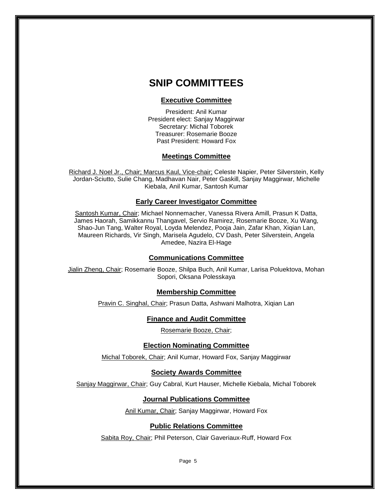### **SNIP COMMITTEES**

#### **Executive Committee**

President: Anil Kumar President elect: Sanjay Maggirwar Secretary: Michal Toborek Treasurer: Rosemarie Booze Past President: Howard Fox

#### **Meetings Committee**

Richard J. Noel Jr., Chair; Marcus Kaul, Vice-chair; Celeste Napier, Peter Silverstein, Kelly Jordan-Sciutto, Sulie Chang, Madhavan Nair, Peter Gaskill, Sanjay Maggirwar, Michelle Kiebala, Anil Kumar, Santosh Kumar

#### **Early Career Investigator Committee**

Santosh Kumar, Chair; Michael Nonnemacher, Vanessa Rivera Amill, Prasun K Datta, James Haorah, Samikkannu Thangavel, Servio Ramirez, Rosemarie Booze, Xu Wang, Shao-Jun Tang, Walter Royal, Loyda Melendez, Pooja Jain, Zafar Khan, Xiqian Lan, Maureen Richards, Vir Singh, Marisela Agudelo, CV Dash, Peter Silverstein, Angela Amedee, Nazira El-Hage

#### **Communications Committee**

Jialin Zheng, Chair; Rosemarie Booze, Shilpa Buch, Anil Kumar, Larisa Poluektova, Mohan Sopori, Oksana Polesskaya

#### **Membership Committee**

Pravin C. Singhal, Chair; Prasun Datta, Ashwani Malhotra, Xiqian Lan

#### **Finance and Audit Committee**

Rosemarie Booze, Chair;

#### **Election Nominating Committee**

Michal Toborek, Chair; Anil Kumar, Howard Fox, Sanjay Maggirwar

#### **Society Awards Committee**

Sanjay Maggirwar, Chair; Guy Cabral, Kurt Hauser, Michelle Kiebala, Michal Toborek

#### **Journal Publications Committee**

Anil Kumar, Chair; Sanjay Maggirwar, Howard Fox

#### **Public Relations Committee**

Sabita Roy, Chair; Phil Peterson, Clair Gaveriaux-Ruff, Howard Fox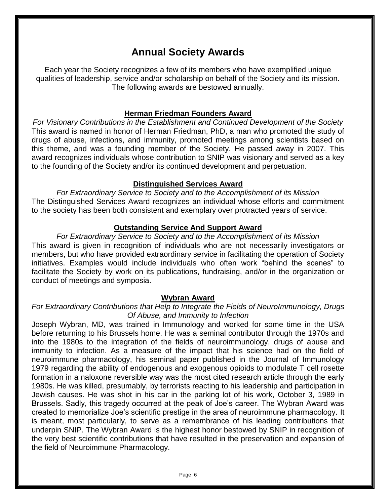## **Annual Society Awards**

Each year the Society recognizes a few of its members who have exemplified unique qualities of leadership, service and/or scholarship on behalf of the Society and its mission. The following awards are bestowed annually.

#### **Herman Friedman Founders Award**

*For Visionary Contributions in the Establishment and Continued Development of the Society* This award is named in honor of Herman Friedman, PhD, a man who promoted the study of drugs of abuse, infections, and immunity, promoted meetings among scientists based on this theme, and was a founding member of the Society. He passed away in 2007. This award recognizes individuals whose contribution to SNIP was visionary and served as a key to the founding of the Society and/or its continued development and perpetuation.

#### **Distinguished Services Award**

*For Extraordinary Service to Society and to the Accomplishment of its Mission* The Distinguished Services Award recognizes an individual whose efforts and commitment to the society has been both consistent and exemplary over protracted years of service.

#### **Outstanding Service And Support Award**

*For Extraordinary Service to Society and to the Accomplishment of its Mission* This award is given in recognition of individuals who are not necessarily investigators or members, but who have provided extraordinary service in facilitating the operation of Society initiatives. Examples would include individuals who often work "behind the scenes" to facilitate the Society by work on its publications, fundraising, and/or in the organization or conduct of meetings and symposia.

#### **Wybran Award**

### *For Extraordinary Contributions that Help to Integrate the Fields of NeuroImmunology, Drugs Of Abuse, and Immunity to Infection*

Joseph Wybran, MD, was trained in Immunology and worked for some time in the USA before returning to his Brussels home. He was a seminal contributor through the 1970s and into the 1980s to the integration of the fields of neuroimmunology, drugs of abuse and immunity to infection. As a measure of the impact that his science had on the field of neuroimmune pharmacology, his seminal paper published in the Journal of Immunology 1979 regarding the ability of endogenous and exogenous opioids to modulate T cell rosette formation in a naloxone reversible way was the most cited research article through the early 1980s. He was killed, presumably, by terrorists reacting to his leadership and participation in Jewish causes. He was shot in his car in the parking lot of his work, October 3, 1989 in Brussels. Sadly, this tragedy occurred at the peak of Joe's career. The Wybran Award was created to memorialize Joe's scientific prestige in the area of neuroimmune pharmacology. It is meant, most particularly, to serve as a remembrance of his leading contributions that underpin SNIP. The Wybran Award is the highest honor bestowed by SNIP in recognition of the very best scientific contributions that have resulted in the preservation and expansion of the field of Neuroimmune Pharmacology.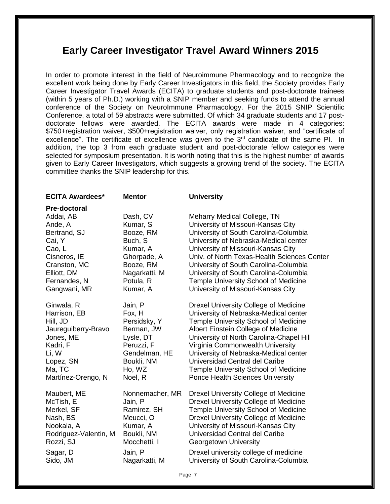### **Early Career Investigator Travel Award Winners 2015**

In order to promote interest in the field of Neuroimmune Pharmacology and to recognize the excellent work being done by Early Career Investigators in this field, the Society provides Early Career Investigator Travel Awards (ECITA) to graduate students and post-doctorate trainees (within 5 years of Ph.D.) working with a SNIP member and seeking funds to attend the annual conference of the Society on NeuroImmune Pharmacology. For the 2015 SNIP Scientific Conference, a total of 59 abstracts were submitted. Of which 34 graduate students and 17 postdoctorate fellows were awarded. The ECITA awards were made in 4 categories: \$750+registration waiver, \$500+registration waiver, only registration waiver, and "certificate of excellence". The certificate of excellence was given to the  $3<sup>rd</sup>$  candidate of the same PI. In addition, the top 3 from each graduate student and post-doctorate fellow categories were selected for symposium presentation. It is worth noting that this is the highest number of awards given to Early Career Investigators, which suggests a growing trend of the society. The ECITA committee thanks the SNIP leadership for this.

| <b>ECITA Awardees*</b>              | <b>Mentor</b>            | <b>University</b>                                                              |
|-------------------------------------|--------------------------|--------------------------------------------------------------------------------|
| <b>Pre-doctoral</b>                 |                          |                                                                                |
| Addai, AB                           | Dash, CV                 | Meharry Medical College, TN                                                    |
| Ande, A<br>Bertrand, SJ             | Kumar, S<br>Booze, RM    | University of Missouri-Kansas City<br>University of South Carolina-Columbia    |
| Cai, Y                              | Buch, S                  | University of Nebraska-Medical center                                          |
| Cao, L                              | Kumar, A                 | University of Missouri-Kansas City                                             |
| Cisneros, IE                        | Ghorpade, A              | Univ. of North Texas-Health Sciences Center                                    |
| Cranston, MC                        | Booze, RM                | University of South Carolina-Columbia                                          |
| Elliott, DM                         | Nagarkatti, M            | University of South Carolina-Columbia                                          |
| Fernandes, N                        | Potula, R                | Temple University School of Medicine                                           |
| Gangwani, MR                        | Kumar, A                 | University of Missouri-Kansas City                                             |
| Ginwala, R                          | Jain, P                  | Drexel University College of Medicine                                          |
| Harrison, EB                        | Fox, H                   | University of Nebraska-Medical center                                          |
| Hill, JD                            | Persidsky, Y             | Temple University School of Medicine                                           |
| Jaureguiberry-Bravo                 | Berman, JW               | Albert Einstein College of Medicine                                            |
| Jones, ME                           | Lysle, DT                | University of North Carolina-Chapel Hill                                       |
| Kadri, F                            | Peruzzi, F               | Virginia Commonwealth University                                               |
| Li, W                               | Gendelman, HE            | University of Nebraska-Medical center<br>Universidad Central del Caribe        |
| Lopez, SN<br>Ma, TC                 | Boukli, NM<br>Ho, WZ     | <b>Temple University School of Medicine</b>                                    |
| Martínez-Orengo, N                  | Noel, R                  | Ponce Health Sciences University                                               |
|                                     |                          |                                                                                |
| Maubert, ME                         | Nonnemacher, MR          | <b>Drexel University College of Medicine</b>                                   |
| McTish, E                           | Jain, P                  | Drexel University College of Medicine                                          |
| Merkel, SF                          | Ramirez, SH              | Temple University School of Medicine                                           |
| Nash, BS                            | Meucci, O                | <b>Drexel University College of Medicine</b>                                   |
| Nookala, A<br>Rodriguez-Valentin, M | Kumar, A<br>Boukli, NM   | University of Missouri-Kansas City<br>Universidad Central del Caribe           |
| Rozzi, SJ                           | Mocchetti, I             | Georgetown University                                                          |
|                                     |                          |                                                                                |
| Sagar, D<br>Sido, JM                | Jain, P<br>Nagarkatti, M | Drexel university college of medicine<br>University of South Carolina-Columbia |
|                                     |                          |                                                                                |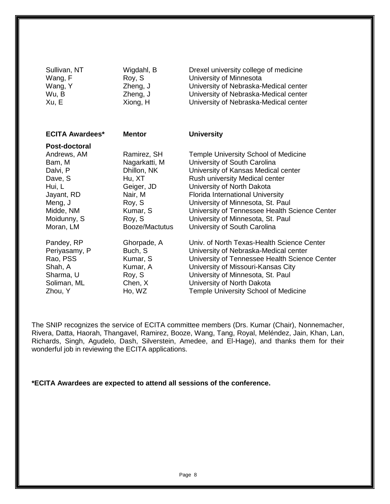| Sullivan, NT                                                                                                                              | Wigdahl, B                                                                                                                       | Drexel university college of medicine                                                                                                                                                                                                                                                                                                                                             |
|-------------------------------------------------------------------------------------------------------------------------------------------|----------------------------------------------------------------------------------------------------------------------------------|-----------------------------------------------------------------------------------------------------------------------------------------------------------------------------------------------------------------------------------------------------------------------------------------------------------------------------------------------------------------------------------|
| Wang, F                                                                                                                                   | Roy, S                                                                                                                           | University of Minnesota                                                                                                                                                                                                                                                                                                                                                           |
| Wang, Y                                                                                                                                   | Zheng, J                                                                                                                         | University of Nebraska-Medical center                                                                                                                                                                                                                                                                                                                                             |
| Wu, B                                                                                                                                     | Zheng, J                                                                                                                         | University of Nebraska-Medical center                                                                                                                                                                                                                                                                                                                                             |
| Xu, E                                                                                                                                     | Xiong, H                                                                                                                         | University of Nebraska-Medical center                                                                                                                                                                                                                                                                                                                                             |
| <b>ECITA Awardees*</b>                                                                                                                    | <b>Mentor</b>                                                                                                                    | <b>University</b>                                                                                                                                                                                                                                                                                                                                                                 |
| Post-doctoral<br>Andrews, AM<br>Bam, M<br>Dalvi, P<br>Dave, S<br>Hui, L<br>Jayant, RD<br>Meng, J<br>Midde, NM<br>Moidunny, S<br>Moran, LM | Ramirez, SH<br>Nagarkatti, M<br>Dhillon, NK<br>Hu, XT<br>Geiger, JD<br>Nair, M<br>Roy, S<br>Kumar, S<br>Roy, S<br>Booze/Mactutus | <b>Temple University School of Medicine</b><br>University of South Carolina<br>University of Kansas Medical center<br>Rush university Medical center<br>University of North Dakota<br>Florida International University<br>University of Minnesota, St. Paul<br>University of Tennessee Health Science Center<br>University of Minnesota, St. Paul<br>University of South Carolina |
| Pandey, RP                                                                                                                                | Ghorpade, A                                                                                                                      | Univ. of North Texas-Health Science Center                                                                                                                                                                                                                                                                                                                                        |
| Periyasamy, P                                                                                                                             | Buch, S                                                                                                                          | University of Nebraska-Medical center                                                                                                                                                                                                                                                                                                                                             |
| Rao, PSS                                                                                                                                  | Kumar, S                                                                                                                         | University of Tennessee Health Science Center                                                                                                                                                                                                                                                                                                                                     |
| Shah, A                                                                                                                                   | Kumar, A                                                                                                                         | University of Missouri-Kansas City                                                                                                                                                                                                                                                                                                                                                |
| Sharma, U                                                                                                                                 | Roy, S                                                                                                                           | University of Minnesota, St. Paul                                                                                                                                                                                                                                                                                                                                                 |
| Soliman, ML                                                                                                                               | Chen, X                                                                                                                          | University of North Dakota                                                                                                                                                                                                                                                                                                                                                        |
| Zhou, Y                                                                                                                                   | Ho, WZ                                                                                                                           | <b>Temple University School of Medicine</b>                                                                                                                                                                                                                                                                                                                                       |

The SNIP recognizes the service of ECITA committee members (Drs. Kumar (Chair), Nonnemacher, Rivera, Datta, Haorah, Thangavel, Ramirez, Booze, Wang, Tang, Royal, Meléndez, Jain, Khan, Lan, Richards, Singh, Agudelo, Dash, Silverstein, Amedee, and El-Hage), and thanks them for their wonderful job in reviewing the ECITA applications.

**\*ECITA Awardees are expected to attend all sessions of the conference.**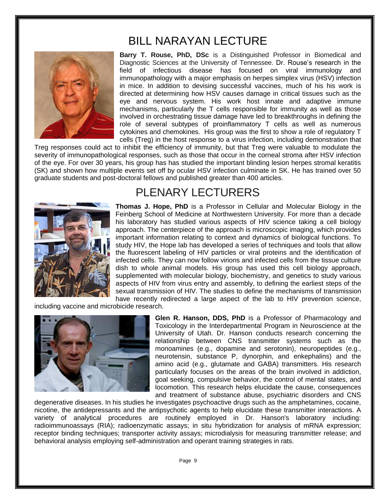## BILL NARAYAN LECTURE



**Barry T. Rouse, PhD, DSc** is a Distinguished Professor in Biomedical and Diagnostic Sciences at the University of Tennessee. Dr. Rouse's research in the field of infectious disease has focused on viral immunology and immunopathology with a major emphasis on herpes simplex virus (HSV) infection in mice. In addition to devising successful vaccines, much of his his work is directed at determining how HSV causes damage in critical tissues such as the eye and nervous system. His work host innate and adaptive immune mechanisms, particularly the T cells responsible for immunity as well as those involved in orchestrating tissue damage have led to breakthroughs in defining the role of several subtypes of proinflammatory T cells as well as numerous cytokines and chemokines. His group was the first to show a role of regulatory T cells (Treg) in the host response to a virus infection, including demonstration that

Treg responses could act to inhibit the efficiency of immunity, but that Treg were valuable to modulate the severity of immunopathological responses, such as those that occur in the corneal stroma after HSV infection of the eye. For over 30 years, his group has has studied the important blinding lesion herpes stromal keratitis (SK) and shown how multiple events set off by ocular HSV infection culminate in SK. He has trained over 50 graduate students and post-doctoral fellows and published greater than 400 articles.



## PLENARY LECTURERS

**Thomas J. Hope, PhD** is a Professor in Cellular and Molecular Biology in the Feinberg School of Medicine at Northwestern University. For more than a decade his laboratory has studied various aspects of HIV science taking a cell biology approach. The centerpiece of the approach is microscopic imaging, which provides important information relating to context and dynamics of biological functions. To study HIV, the Hope lab has developed a series of techniques and tools that allow the fluorescent labeling of HIV particles or viral proteins and the identification of infected cells. They can now follow virions and infected cells from the tissue culture dish to whole animal models. His group has used this cell biology approach, supplemented with molecular biology, biochemistry, and genetics to study various aspects of HIV from virus entry and assembly, to defining the earliest steps of the sexual transmission of HIV. The studies to define the mechanisms of transmission have recently redirected a large aspect of the lab to HIV prevention science,

including vaccine and microbicide research.



**Glen R. Hanson, DDS, PhD** is a Professor of Pharmacology and Toxicology in the Interdepartmental Program in Neuroscience at the University of Utah. Dr. Hanson conducts research concerning the relationship between CNS transmitter systems such as the monoamines (e.g., dopamine and serotonin), neuropeptides (e.g., neurotensin, substance P, dynorphin, and enkephalins) and the amino acid (e.g., glutamate and GABA) transmitters. His research particularly focuses on the areas of the brain involved in addiction, goal seeking, compulsive behavior, the control of mental states, and locomotion. This research helps elucidate the cause, consequences and treatment of substance abuse, psychiatric disorders and CNS

degenerative diseases. In his studies he investigates psychoactive drugs such as the amphetamines, cocaine, nicotine, the antidepressants and the antipsychotic agents to help elucidate these transmitter interactions. A variety of analytical procedures are routinely employed in Dr. Hanson's laboratory including: radioimmunoassays (RIA); radioenzymatic assays; in situ hybridization for analysis of mRNA expression; receptor binding techniques; transporter activity assays; microdialysis for measuring transmitter release; and behavioral analysis employing self-administration and operant training strategies in rats.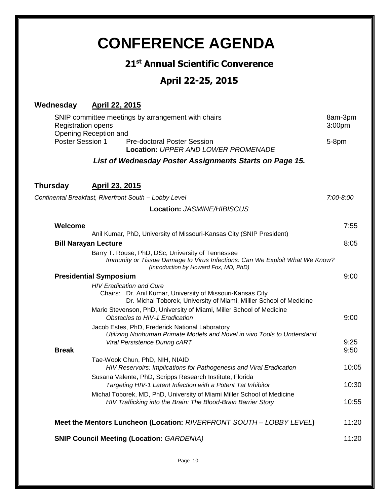## **CONFERENCE AGENDA 21st Annual Scientific Converence April 22-25, 2015 Wednesday April 22, 2015** SNIP committee meetings by arrangement with chairs **8am-3pm** 8am-3pm Registration opens 3:00pm Opening Reception and Poster Session 1 Pre-doctoral Poster Session 6-8pm **Location:** *UPPER AND LOWER PROMENADE List of Wednesday Poster Assignments Starts on Page 15.* **Thursday April 23, 2015** *Continental Breakfast, Riverfront South – Lobby Level 7:00-8:00* **Location:** *JASMINE/HIBISCUS* **Welcome** 7:55 Anil Kumar, PhD, University of Missouri-Kansas City (SNIP President) **Bill Narayan Lecture** 8:05 Barry T. Rouse, PhD, DSc, University of Tennessee *Immunity or Tissue Damage to Virus Infections: Can We Exploit What We Know? (Introduction by Howard Fox, MD, PhD)* **Presidential Symposium** 9:00 *HIV Eradication and Cure*  Chairs: Dr. Anil Kumar, University of Missouri-Kansas City Dr. Michal Toborek, University of Miami, Milller School of Medicine Mario Stevenson, PhD, University of Miami, Miller School of Medicine *Obstacles to HIV-1 Eradication* 6 and 2000 **9:00** 9:00 Jacob Estes, PhD, Frederick National Laboratory *Utilizing Nonhuman Primate Models and Novel in vivo Tools to Understand Viral Persistence During cART* 8:25 **Break** 9:50 Tae-Wook Chun, PhD, NIH, NIAID *HIV Reservoirs: Implications for Pathogenesis and Viral Eradication* 10:05 Susana Valente, PhD, Scripps Research Institute, Florida *Targeting HIV-1 Latent Infection with a Potent Tat Inhibitor* 10:30 Michal Toborek, MD, PhD, University of Miami Miller School of Medicine *HIV Trafficking into the Brain: The Blood-Brain Barrier Story* 10:55 **Meet the Mentors Luncheon (Location:** *RIVERFRONT SOUTH – LOBBY LEVEL***)** 11:20 **SNIP Council Meeting (Location:** *GARDENIA)* 11:20

Page 10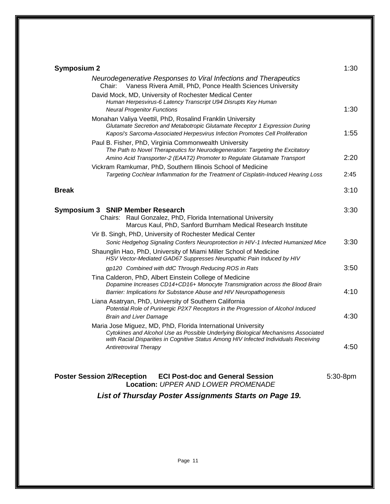| <b>Symposium 2</b>                                                                                                                                                                                                                                                         | 1:30 |  |
|----------------------------------------------------------------------------------------------------------------------------------------------------------------------------------------------------------------------------------------------------------------------------|------|--|
| Neurodegenerative Responses to Viral Infections and Therapeutics<br>Vaness Rivera Amill, PhD, Ponce Health Sciences University<br>Chair:                                                                                                                                   |      |  |
| David Mock, MD, University of Rochester Medical Center<br>Human Herpesvirus-6 Latency Transcript U94 Disrupts Key Human<br><b>Neural Progenitor Functions</b>                                                                                                              | 1:30 |  |
| Monahan Valiya Veettil, PhD, Rosalind Franklin University<br>Glutamate Secretion and Metabotropic Glutamate Receptor 1 Expression During<br>Kaposi's Sarcoma-Associated Herpesvirus Infection Promotes Cell Proliferation                                                  | 1:55 |  |
| Paul B. Fisher, PhD, Virginia Commonwealth University<br>The Path to Novel Therapeutics for Neurodegeneration: Targeting the Excitatory<br>Amino Acid Transporter-2 (EAAT2) Promoter to Regulate Glutamate Transport                                                       | 2:20 |  |
| Vickram Ramkumar, PhD, Southern Illinois School of Medicine<br>Targeting Cochlear Inflammation for the Treatment of Cisplatin-Induced Hearing Loss                                                                                                                         | 2:45 |  |
| <b>Break</b>                                                                                                                                                                                                                                                               | 3:10 |  |
| Symposium 3 SNIP Member Research<br>Raul Gonzalez, PhD, Florida International University<br>Chairs:<br>Marcus Kaul, PhD, Sanford Burnham Medical Research Institute                                                                                                        | 3:30 |  |
| Vir B. Singh, PhD, University of Rochester Medical Center<br>Sonic Hedgehog Signaling Confers Neuroprotection in HIV-1 Infected Humanized Mice                                                                                                                             | 3:30 |  |
| Shaunglin Hao, PhD, University of Miami Miller School of Medicine<br>HSV Vector-Mediated GAD67 Suppresses Neuropathic Pain Induced by HIV                                                                                                                                  |      |  |
| gp120 Combined with ddC Through Reducing ROS in Rats                                                                                                                                                                                                                       | 3:50 |  |
| Tina Calderon, PhD, Albert Einstein College of Medicine<br>Dopamine Increases CD14+CD16+ Monocyte Transmigration across the Blood Brain<br>Barrier: Implications for Substance Abuse and HIV Neuropathogenesis                                                             | 4:10 |  |
| Liana Asatryan, PhD, University of Southern California<br>Potential Role of Purinergic P2X7 Receptors in the Progression of Alcohol Induced                                                                                                                                |      |  |
| <b>Brain and Liver Damage</b>                                                                                                                                                                                                                                              | 4:30 |  |
| Maria Jose Miguez, MD, PhD, Florida International University<br>Cytokines and Alcohol Use as Possible Underlying Biological Mechanisms Associated<br>with Racial Disparities in Cognitive Status Among HIV Infected Individuals Receiving<br><b>Antiretroviral Therapy</b> | 4:50 |  |
| Poster Session 2/Reception ECI Post-doc and General Session<br>$5:30-8$ pm<br><b>Location: UPPER AND LOWER PROMENADE</b>                                                                                                                                                   |      |  |
| List of Thursday Poster Assignments Starts on Page 19.                                                                                                                                                                                                                     |      |  |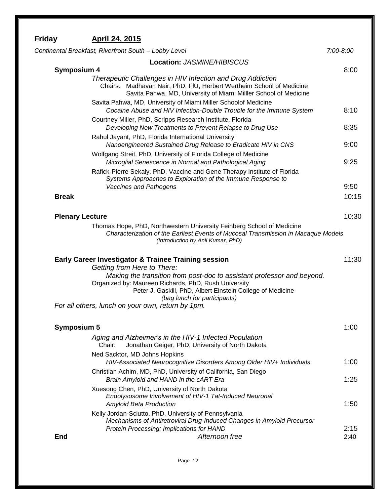| Friday                 | April 24, 2015                                                                                                                                                                                                                                                                                                                                                                      |               |
|------------------------|-------------------------------------------------------------------------------------------------------------------------------------------------------------------------------------------------------------------------------------------------------------------------------------------------------------------------------------------------------------------------------------|---------------|
|                        | Continental Breakfast, Riverfront South - Lobby Level                                                                                                                                                                                                                                                                                                                               | $7:00 - 8:00$ |
|                        | Location: JASMINE/HIBISCUS                                                                                                                                                                                                                                                                                                                                                          |               |
| <b>Symposium 4</b>     | Therapeutic Challenges in HIV Infection and Drug Addiction<br>Chairs: Madhavan Nair, PhD, FIU, Herbert Wertheim School of Medicine<br>Savita Pahwa, MD, University of Miami Milller School of Medicine                                                                                                                                                                              | 8:00          |
|                        | Savita Pahwa, MD, University of Miami Miller Schoolof Medicine<br>Cocaine Abuse and HIV Infection-Double Trouble for the Immune System<br>Courtney Miller, PhD, Scripps Research Institute, Florida                                                                                                                                                                                 | 8:10          |
|                        | Developing New Treatments to Prevent Relapse to Drug Use<br>Rahul Jayant, PhD, Florida International University                                                                                                                                                                                                                                                                     | 8:35          |
|                        | Nanoengineered Sustained Drug Release to Eradicate HIV in CNS<br>Wolfgang Streit, PhD, University of Florida College of Medicine                                                                                                                                                                                                                                                    | 9:00          |
|                        | Microglial Senescence in Normal and Pathological Aging<br>Rafick-Pierre Sekaly, PhD, Vaccine and Gene Therapy Institute of Florida<br>Systems Approaches to Exploration of the Immune Response to<br>Vaccines and Pathogens                                                                                                                                                         | 9:25<br>9:50  |
| <b>Break</b>           |                                                                                                                                                                                                                                                                                                                                                                                     | 10:15         |
| <b>Plenary Lecture</b> |                                                                                                                                                                                                                                                                                                                                                                                     | 10:30         |
|                        | Thomas Hope, PhD, Northwestern University Feinberg School of Medicine<br>Characterization of the Earliest Events of Mucosal Transmission in Macaque Models<br>(Introduction by Anil Kumar, PhD)                                                                                                                                                                                     |               |
|                        | <b>Early Career Investigator &amp; Trainee Training session</b><br>Getting from Here to There:<br>Making the transition from post-doc to assistant professor and beyond.<br>Organized by: Maureen Richards, PhD, Rush University<br>Peter J. Gaskill, PhD, Albert Einstein College of Medicine<br>(bag lunch for participants)<br>For all others, lunch on your own, return by 1pm. | 11:30         |
| <b>Symposium 5</b>     |                                                                                                                                                                                                                                                                                                                                                                                     | 1:00          |
|                        | Aging and Alzheimer's in the HIV-1 Infected Population<br>Jonathan Geiger, PhD, University of North Dakota<br>Chair:                                                                                                                                                                                                                                                                |               |
|                        | Ned Sacktor, MD Johns Hopkins<br>HIV-Associated Neurocognitive Disorders Among Older HIV+ Individuals                                                                                                                                                                                                                                                                               | 1:00          |
|                        | Christian Achim, MD, PhD, University of California, San Diego<br>Brain Amyloid and HAND in the CART Era                                                                                                                                                                                                                                                                             | 1:25          |
|                        | Xuesong Chen, PhD, University of North Dakota<br>Endolysosome Involvement of HIV-1 Tat-Induced Neuronal<br><b>Amyloid Beta Production</b>                                                                                                                                                                                                                                           | 1:50          |
| <b>End</b>             | Kelly Jordan-Sciutto, PhD, University of Pennsylvania<br>Mechanisms of Antiretroviral Drug-Induced Changes in Amyloid Precursor<br>Protein Processing: Implications for HAND<br>Afternoon free                                                                                                                                                                                      | 2:15<br>2:40  |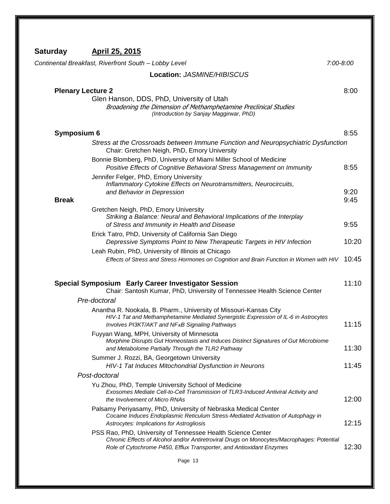| Continental Breakfast, Riverfront South - Lobby Level                                                                                                                                                                                                         | $7:00 - 8:00$ |
|---------------------------------------------------------------------------------------------------------------------------------------------------------------------------------------------------------------------------------------------------------------|---------------|
| Location: JASMINE/HIBISCUS                                                                                                                                                                                                                                    |               |
| <b>Plenary Lecture 2</b><br>Glen Hanson, DDS, PhD, University of Utah<br>Broadening the Dimension of Methamphetamine Preclinical Studies<br>(Introduction by Sanjay Maggirwar, PhD)                                                                           | 8:00          |
| Symposium 6                                                                                                                                                                                                                                                   | 8:55          |
| Stress at the Crossroads between Immune Function and Neuropsychiatric Dysfunction<br>Chair: Gretchen Neigh, PhD, Emory University                                                                                                                             |               |
| Bonnie Blomberg, PhD, University of Miami Miller School of Medicine<br>Positive Effects of Cognitive Behavioral Stress Management on Immunity<br>Jennifer Felger, PhD, Emory University<br>Inflammatory Cytokine Effects on Neurotransmitters, Neurocircuits, | 8:55          |
| and Behavior in Depression<br><b>Break</b>                                                                                                                                                                                                                    | 9:20<br>9:45  |
| Gretchen Neigh, PhD, Emory University<br>Striking a Balance: Neural and Behavioral Implications of the Interplay<br>of Stress and Immunity in Health and Disease<br>Erick Tatro, PhD, University of California San Diego                                      | 9:55          |
| Depressive Symptoms Point to New Therapeutic Targets in HIV Infection                                                                                                                                                                                         | 10:20         |
| Leah Rubin, PhD, University of Illinois at Chicago<br>Effects of Stress and Stress Hormones on Cognition and Brain Function in Women with HIV                                                                                                                 | 10:45         |
| Special Symposium Early Career Investigator Session<br>Chair: Santosh Kumar, PhD, University of Tennessee Health Science Center                                                                                                                               | 11:10         |
| Pre-doctoral                                                                                                                                                                                                                                                  |               |
| Anantha R. Nookala, B. Pharm., University of Missouri-Kansas City<br>HIV-1 Tat and Methamphetamine Mediated Synergistic Expression of IL-6 in Astrocytes<br>Involves PI3KT/AKT and NF <sub>K</sub> B Signaling Pathways                                       | 11:15         |
| Fuyyan Wang, MPH, University of Minnesota<br>Morphine Disrupts Gut Homeostasis and Induces Distinct Signatures of Gut Microbiome<br>and Metabolome Partially Through the TLR2 Pathway                                                                         | 11:30         |
| Summer J. Rozzi, BA, Georgetown University<br>HIV-1 Tat Induces Mitochondrial Dysfunction in Neurons                                                                                                                                                          | 11:45         |
| Post-doctoral                                                                                                                                                                                                                                                 |               |
| Yu Zhou, PhD, Temple University School of Medicine<br>Exosomes Mediate Cell-to-Cell Transmission of TLR3-Induced Antiviral Activity and<br>the Involvement of Micro RNAs                                                                                      | 12:00         |
| Palsamy Periyasamy, PhD, University of Nebraska Medical Center<br>Cocaine Induces Endoplasmic Reticulum Stress-Mediated Activation of Autophagy in<br>Astrocytes: Implications for Astrogliosis                                                               | 12:15         |
| PSS Rao, PhD, University of Tennessee Health Science Center<br>Chronic Effects of Alcohol and/or Antiretroviral Drugs on Monocytes/Macrophages: Potential<br>Role of Cytochrome P450, Efflux Transporter, and Antioxidant Enzymes                             | 12:30         |

Page 13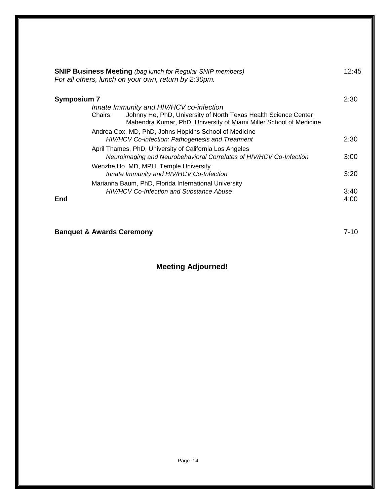|             | <b>SNIP Business Meeting (bag lunch for Regular SNIP members)</b><br>For all others, lunch on your own, return by 2:30pm.                                                                    | 12:45        |
|-------------|----------------------------------------------------------------------------------------------------------------------------------------------------------------------------------------------|--------------|
| Symposium 7 |                                                                                                                                                                                              | 2:30         |
|             | Innate Immunity and HIV/HCV co-infection<br>Johnny He, PhD, University of North Texas Health Science Center<br>Chairs:<br>Mahendra Kumar, PhD, University of Miami Miller School of Medicine |              |
|             | Andrea Cox, MD, PhD, Johns Hopkins School of Medicine<br>HIV/HCV Co-infection: Pathogenesis and Treatment                                                                                    | 2:30         |
|             | April Thames, PhD, University of California Los Angeles<br>Neuroimaging and Neurobehavioral Correlates of HIV/HCV Co-Infection                                                               | 3:00         |
|             | Wenzhe Ho, MD, MPH, Temple University<br>Innate Immunity and HIV/HCV Co-Infection                                                                                                            | 3:20         |
|             | Marianna Baum, PhD, Florida International University                                                                                                                                         |              |
| End         | <b>HIV/HCV Co-Infection and Substance Abuse</b>                                                                                                                                              | 3:40<br>4:00 |

**Banquet & Awards Ceremony** 7-10

## **Meeting Adjourned!**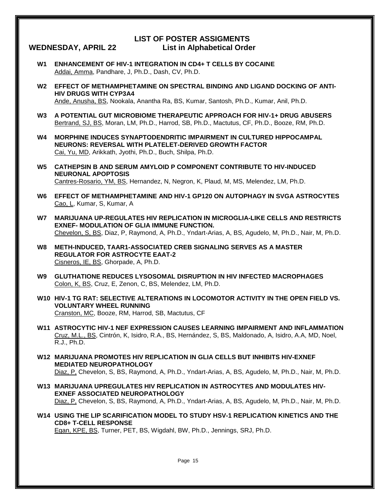#### **LIST OF POSTER ASSIGMENTS WEDNESDAY, APRIL 22 List in Alphabetical Order**

- **W1 ENHANCEMENT OF HIV-1 INTEGRATION IN CD4+ T CELLS BY COCAINE** Addai, Amma, Pandhare, J, Ph.D., Dash, CV, Ph.D.
- **W2 EFFECT OF METHAMPHETAMINE ON SPECTRAL BINDING AND LIGAND DOCKING OF ANTI-HIV DRUGS WITH CYP3A4** Ande, Anusha, BS, Nookala, Anantha Ra, BS, Kumar, Santosh, Ph.D., Kumar, Anil, Ph.D.
- **W3 A POTENTIAL GUT MICROBIOME THERAPEUTIC APPROACH FOR HIV-1+ DRUG ABUSERS** Bertrand, SJ, BS, Moran, LM, Ph.D., Harrod, SB, Ph.D., Mactutus, CF, Ph.D., Booze, RM, Ph.D.
- **W4 MORPHINE INDUCES SYNAPTODENDRITIC IMPAIRMENT IN CULTURED HIPPOCAMPAL NEURONS: REVERSAL WITH PLATELET-DERIVED GROWTH FACTOR** Cai, Yu, MD, Arikkath, Jyothi, Ph.D., Buch, Shilpa, Ph.D.
- **W5 CATHEPSIN B AND SERUM AMYLOID P COMPONENT CONTRIBUTE TO HIV-INDUCED NEURONAL APOPTOSIS** Cantres-Rosario, YM, BS, Hernandez, N, Negron, K, Plaud, M, MS, Melendez, LM, Ph.D.
- **W6 EFFECT OF METHAMPHETAMINE AND HIV-1 GP120 ON AUTOPHAGY IN SVGA ASTROCYTES** Cao, L, Kumar, S, Kumar, A
- **W7 MARIJUANA UP-REGULATES HIV REPLICATION IN MICROGLIA-LIKE CELLS AND RESTRICTS EXNEF- MODULATION OF GLIA IMMUNE FUNCTION.** Chevelon, S, BS, Diaz, P, Raymond, A, Ph.D., Yndart-Arias, A, BS, Agudelo, M, Ph.D., Nair, M, Ph.D.
- **W8 METH-INDUCED, TAAR1-ASSOCIATED CREB SIGNALING SERVES AS A MASTER REGULATOR FOR ASTROCYTE EAAT-2** Cisneros, IE, BS, Ghorpade, A, Ph.D.
- **W9 GLUTHATIONE REDUCES LYSOSOMAL DISRUPTION IN HIV INFECTED MACROPHAGES** Colon, K, BS, Cruz, E, Zenon, C, BS, Melendez, LM, Ph.D.
- **W10 HIV-1 TG RAT: SELECTIVE ALTERATIONS IN LOCOMOTOR ACTIVITY IN THE OPEN FIELD VS. VOLUNTARY WHEEL RUNNING** Cranston, MC, Booze, RM, Harrod, SB, Mactutus, CF
- **W11 ASTROCYTIC HIV-1 NEF EXPRESSION CAUSES LEARNING IMPAIRMENT AND INFLAMMATION** Cruz, M.L., BS, Cintrón, K, Isidro, R.A., BS, Hernández, S, BS, Maldonado, A, Isidro, A.A, MD, Noel, R.J., Ph.D.
- **W12 MARIJUANA PROMOTES HIV REPLICATION IN GLIA CELLS BUT INHIBITS HIV-EXNEF MEDIATED NEUROPATHOLOGY** Diaz, P, Chevelon, S, BS, Raymond, A, Ph.D., Yndart-Arias, A, BS, Agudelo, M, Ph.D., Nair, M, Ph.D.
- **W13 MARIJUANA UPREGULATES HIV REPLICATION IN ASTROCYTES AND MODULATES HIV-EXNEF ASSOCIATED NEUROPATHOLOGY** Diaz, P, Chevelon, S, BS, Raymond, A, Ph.D., Yndart-Arias, A, BS, Agudelo, M, Ph.D., Nair, M, Ph.D.
- **W14 USING THE LIP SCARIFICATION MODEL TO STUDY HSV-1 REPLICATION KINETICS AND THE CD8+ T-CELL RESPONSE** Egan, KPE, BS, Turner, PET, BS, Wigdahl, BW, Ph.D., Jennings, SRJ, Ph.D.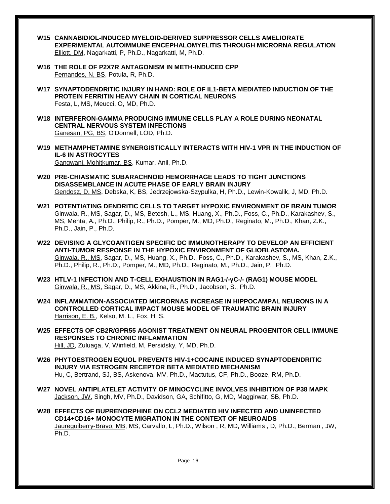- **W15 CANNABIDIOL-INDUCED MYELOID-DERIVED SUPPRESSOR CELLS AMELIORATE EXPERIMENTAL AUTOIMMUNE ENCEPHALOMYELITIS THROUGH MICRORNA REGULATION** Elliott, DM, Nagarkatti, P, Ph.D., Nagarkatti, M, Ph.D.
- **W16 THE ROLE OF P2X7R ANTAGONISM IN METH-INDUCED CPP** Fernandes, N, BS, Potula, R, Ph.D.
- **W17 SYNAPTODENDRITIC INJURY IN HAND: ROLE OF IL1-BETA MEDIATED INDUCTION OF THE PROTEIN FERRITIN HEAVY CHAIN IN CORTICAL NEURONS** Festa, L, MS, Meucci, O, MD, Ph.D.
- **W18 INTERFERON-GAMMA PRODUCING IMMUNE CELLS PLAY A ROLE DURING NEONATAL CENTRAL NERVOUS SYSTEM INFECTIONS** Ganesan, PG, BS, O'Donnell, LOD, Ph.D.
- **W19 METHAMPHETAMINE SYNERGISTICALLY INTERACTS WITH HIV-1 VPR IN THE INDUCTION OF IL-6 IN ASTROCYTES** Gangwani, Mohitkumar, BS, Kumar, Anil, Ph.D.
- **W20 PRE-CHIASMATIC SUBARACHNOID HEMORRHAGE LEADS TO TIGHT JUNCTIONS DISASSEMBLANCE IN ACUTE PHASE OF EARLY BRAIN INJURY** Gendosz, D, MS, Debska, K, BS, Jedrzejowska-Szypulka, H, Ph.D., Lewin-Kowalik, J, MD, Ph.D.
- **W21 POTENTIATING DENDRITIC CELLS TO TARGET HYPOXIC ENVIRONMENT OF BRAIN TUMOR** Ginwala, R., MS, Sagar, D., MS, Betesh, L., MS, Huang, X., Ph.D., Foss, C., Ph.D., Karakashev, S., MS, Mehta, A., Ph.D., Philip, R., Ph.D., Pomper, M., MD, Ph.D., Reginato, M., Ph.D., Khan, Z.K., Ph.D., Jain, P., Ph.D.
- **W22 DEVISING A GLYCOANTIGEN SPECIFIC DC IMMUNOTHERAPY TO DEVELOP AN EFFICIENT ANTI-TUMOR RESPONSE IN THE HYPOXIC ENVIRONMENT OF GLIOBLASTOMA.** Ginwala, R., MS, Sagar, D., MS, Huang, X., Ph.D., Foss, C., Ph.D., Karakashev, S., MS, Khan, Z.K., Ph.D., Philip, R., Ph.D., Pomper, M., MD, Ph.D., Reginato, M., Ph.D., Jain, P., Ph.D.
- **W23 HTLV-1 INFECTION AND T-CELL EXHAUSTION IN RAG1-/-γC-/- (RAG1) MOUSE MODEL** Ginwala, R., MS, Sagar, D., MS, Akkina, R., Ph.D., Jacobson, S., Ph.D.
- **W24 INFLAMMATION-ASSOCIATED MICRORNAS INCREASE IN HIPPOCAMPAL NEURONS IN A CONTROLLED CORTICAL IMPACT MOUSE MODEL OF TRAUMATIC BRAIN INJURY** Harrison, E. B., Kelso, M. L., Fox, H. S.
- **W25 EFFECTS OF CB2R/GPR55 AGONIST TREATMENT ON NEURAL PROGENITOR CELL IMMUNE RESPONSES TO CHRONIC INFLAMMATION** Hill, JD, Zuluaga, V, Winfield, M, Persidsky, Y, MD, Ph.D.
- **W26 PHYTOESTROGEN EQUOL PREVENTS HIV-1+COCAINE INDUCED SYNAPTODENDRITIC INJURY VIA ESTROGEN RECEPTOR BETA MEDIATED MECHANISM** Hu, C, Bertrand, SJ, BS, Askenova, MV, Ph.D., Mactutus, CF, Ph.D., Booze, RM, Ph.D.
- **W27 NOVEL ANTIPLATELET ACTIVITY OF MINOCYCLINE INVOLVES INHIBITION OF P38 MAPK** Jackson, JW, Singh, MV, Ph.D., Davidson, GA, Schifitto, G, MD, Maggirwar, SB, Ph.D.
- **W28 EFFECTS OF BUPRENORPHINE ON CCL2 MEDIATED HIV INFECTED AND UNINFECTED CD14+CD16+ MONOCYTE MIGRATION IN THE CONTEXT OF NEUROAIDS** Jaureguiberry-Bravo, MB, MS, Carvallo, L, Ph.D., Wilson , R, MD, Williams , D, Ph.D., Berman , JW, Ph.D.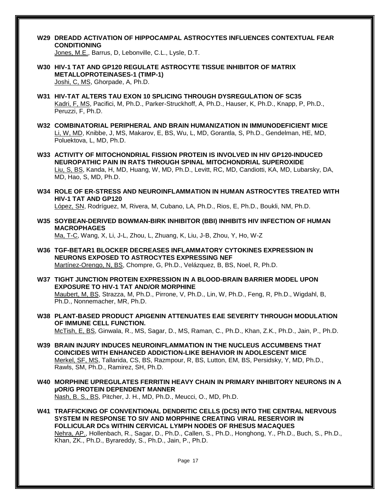**W29 DREADD ACTIVATION OF HIPPOCAMPAL ASTROCYTES INFLUENCES CONTEXTUAL FEAR CONDITIONING**

Jones, M.E., Barrus, D, Lebonville, C.L., Lysle, D.T.

- **W30 HIV-1 TAT AND GP120 REGULATE ASTROCYTE TISSUE INHIBITOR OF MATRIX METALLOPROTEINASES-1 (TIMP-1)** Joshi, C, MS, Ghorpade, A, Ph.D.
- **W31 HIV-TAT ALTERS TAU EXON 10 SPLICING THROUGH DYSREGULATION OF SC35** Kadri, F, MS, Pacifici, M, Ph.D., Parker-Struckhoff, A, Ph.D., Hauser, K, Ph.D., Knapp, P, Ph.D., Peruzzi, F, Ph.D.
- **W32 COMBINATORIAL PERIPHERAL AND BRAIN HUMANIZATION IN IMMUNODEFICIENT MICE** Li, W, MD, Knibbe, J, MS, Makarov, E, BS, Wu, L, MD, Gorantla, S, Ph.D., Gendelman, HE, MD, Poluektova, L, MD, Ph.D.
- **W33 ACTIVITY OF MITOCHONDRIAL FISSION PROTEIN IS INVOLVED IN HIV GP120-INDUCED NEUROPATHIC PAIN IN RATS THROUGH SPINAL MITOCHONDRIAL SUPEROXIDE** Liu, S, BS, Kanda, H, MD, Huang, W, MD, Ph.D., Levitt, RC, MD, Candiotti, KA, MD, Lubarsky, DA, MD, Hao, S, MD, Ph.D.
- **W34 ROLE OF ER-STRESS AND NEUROINFLAMMATION IN HUMAN ASTROCYTES TREATED WITH HIV-1 TAT AND GP120**

López, SN, Rodríguez, M, Rivera, M, Cubano, LA, Ph.D., Rios, E, Ph.D., Boukli, NM, Ph.D.

- **W35 SOYBEAN-DERIVED BOWMAN-BIRK INHIBITOR (BBI) INHIBITS HIV INFECTION OF HUMAN MACROPHAGES** Ma, T-C, Wang, X, Li, J-L, Zhou, L, Zhuang, K, Liu, J-B, Zhou, Y, Ho, W-Z
- **W36 TGF-BETAR1 BLOCKER DECREASES INFLAMMATORY CYTOKINES EXPRESSION IN NEURONS EXPOSED TO ASTROCYTES EXPRESSING NEF** Martínez-Orengo, N, BS, Chompre, G, Ph.D., Velázquez, B, BS, Noel, R, Ph.D.
- **W37 TIGHT JUNCTION PROTEIN EXPRESSION IN A BLOOD-BRAIN BARRIER MODEL UPON EXPOSURE TO HIV-1 TAT AND/OR MORPHINE** Maubert, M, BS, Strazza, M, Ph.D., Pirrone, V, Ph.D., Lin, W, Ph.D., Feng, R, Ph.D., Wigdahl, B, Ph.D., Nonnemacher, MR, Ph.D.
- **W38 PLANT-BASED PRODUCT APIGENIN ATTENUATES EAE SEVERITY THROUGH MODULATION OF IMMUNE CELL FUNCTION.** McTish, E, BS, Ginwala, R., MS, Sagar, D., MS, Raman, C., Ph.D., Khan, Z.K., Ph.D., Jain, P., Ph.D.
- **W39 BRAIN INJURY INDUCES NEUROINFLAMMATION IN THE NUCLEUS ACCUMBENS THAT COINCIDES WITH ENHANCED ADDICTION-LIKE BEHAVIOR IN ADOLESCENT MICE** Merkel, SF, MS, Tallarida, CS, BS, Razmpour, R, BS, Lutton, EM, BS, Persidsky, Y, MD, Ph.D., Rawls, SM, Ph.D., Ramirez, SH, Ph.D.
- **W40 MORPHINE UPREGULATES FERRITIN HEAVY CHAIN IN PRIMARY INHIBITORY NEURONS IN A µOR/G PROTEIN DEPENDENT MANNER** Nash, B. S., BS, Pitcher, J. H., MD, Ph.D., Meucci, O., MD, Ph.D.
- **W41 TRAFFICKING OF CONVENTIONAL DENDRITIC CELLS (DCS) INTO THE CENTRAL NERVOUS SYSTEM IN RESPONSE TO SIV AND MORPHINE CREATING VIRAL RESERVOIR IN FOLLICULAR DCs WITHIN CERVICAL LYMPH NODES OF RHESUS MACAQUES** Nehra, AP., Hollenbach, R., Sagar, D., Ph.D., Callen, S., Ph.D., Honghong, Y., Ph.D., Buch, S., Ph.D., Khan, ZK., Ph.D., Byrareddy, S., Ph.D., Jain, P., Ph.D.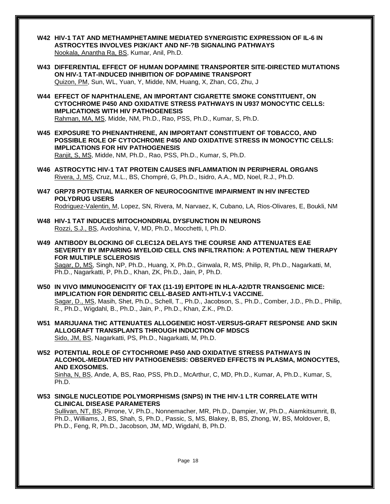- **W42 HIV-1 TAT AND METHAMPHETAMINE MEDIATED SYNERGISTIC EXPRESSION OF IL-6 IN ASTROCYTES INVOLVES PI3K/AKT AND NF-?B SIGNALING PATHWAYS** Nookala, Anantha Ra, BS, Kumar, Anil, Ph.D.
- **W43 DIFFERENTIAL EFFECT OF HUMAN DOPAMINE TRANSPORTER SITE-DIRECTED MUTATIONS ON HIV-1 TAT-INDUCED INHIBITION OF DOPAMINE TRANSPORT** Quizon, PM, Sun, WL, Yuan, Y, Midde, NM, Huang, X, Zhan, CG, Zhu, J
- **W44 EFFECT OF NAPHTHALENE, AN IMPORTANT CIGARETTE SMOKE CONSTITUENT, ON CYTOCHROME P450 AND OXIDATIVE STRESS PATHWAYS IN U937 MONOCYTIC CELLS: IMPLICATIONS WITH HIV PATHOGENESIS**

Rahman, MA, MS, Midde, NM, Ph.D., Rao, PSS, Ph.D., Kumar, S, Ph.D.

**W45 EXPOSURE TO PHENANTHRENE, AN IMPORTANT CONSTITUENT OF TOBACCO, AND POSSIBLE ROLE OF CYTOCHROME P450 AND OXIDATIVE STRESS IN MONOCYTIC CELLS: IMPLICATIONS FOR HIV PATHOGENESIS**

Ranjit, S, MS, Midde, NM, Ph.D., Rao, PSS, Ph.D., Kumar, S, Ph.D.

- **W46 ASTROCYTIC HIV-1 TAT PROTEIN CAUSES INFLAMMATION IN PERIPHERAL ORGANS** Rivera, J, MS, Cruz, M.L., BS, Chompré, G, Ph.D., Isidro, A.A., MD, Noel, R.J., Ph.D.
- **W47 GRP78 POTENTIAL MARKER OF NEUROCOGNITIVE IMPAIRMENT IN HIV INFECTED POLYDRUG USERS** Rodriguez-Valentin, M, Lopez, SN, Rivera, M, Narvaez, K, Cubano, LA, Rios-Olivares, E, Boukli, NM
- **W48 HIV-1 TAT INDUCES MITOCHONDRIAL DYSFUNCTION IN NEURONS** Rozzi, S.J., BS, Avdoshina, V, MD, Ph.D., Mocchetti, I, Ph.D.
- **W49 ANTIBODY BLOCKING OF CLEC12A DELAYS THE COURSE AND ATTENUATES EAE SEVERITY BY IMPAIRING MYELOID CELL CNS INFILTRATION: A POTENTIAL NEW THERAPY FOR MULTIPLE SCLEROSIS**

Sagar, D, MS, Singh, NP, Ph.D., Huang, X, Ph.D., Ginwala, R, MS, Philip, R, Ph.D., Nagarkatti, M, Ph.D., Nagarkatti, P, Ph.D., Khan, ZK, Ph.D., Jain, P, Ph.D.

- **W50 IN VIVO IMMUNOGENICITY OF TAX (11-19) EPITOPE IN HLA-A2/DTR TRANSGENIC MICE: IMPLICATION FOR DENDRITIC CELL-BASED ANTI-HTLV-1 VACCINE.** Sagar, D., MS, Masih, Shet, Ph.D., Schell, T., Ph.D., Jacobson, S., Ph.D., Comber, J.D., Ph.D., Philip, R., Ph.D., Wigdahl, B., Ph.D., Jain, P., Ph.D., Khan, Z.K., Ph.D.
- **W51 MARIJUANA THC ATTENUATES ALLOGENEIC HOST-VERSUS-GRAFT RESPONSE AND SKIN ALLOGRAFT TRANSPLANTS THROUGH INDUCTION OF MDSCS** Sido, JM, BS, Nagarkatti, PS, Ph.D., Nagarkatti, M, Ph.D.
- **W52 POTENTIAL ROLE OF CYTOCHROME P450 AND OXIDATIVE STRESS PATHWAYS IN ALCOHOL-MEDIATED HIV PATHOGENESIS: OBSERVED EFFECTS IN PLASMA, MONOCYTES, AND EXOSOMES.**

Sinha, N, BS, Ande, A, BS, Rao, PSS, Ph.D., McArthur, C, MD, Ph.D., Kumar, A, Ph.D., Kumar, S, Ph.D.

**W53 SINGLE NUCLEOTIDE POLYMORPHISMS (SNPS) IN THE HIV-1 LTR CORRELATE WITH CLINICAL DISEASE PARAMETERS**

Sullivan, NT, BS, Pirrone, V, Ph.D., Nonnemacher, MR, Ph.D., Dampier, W, Ph.D., Aiamkitsumrit, B, Ph.D., Williams, J, BS, Shah, S, Ph.D., Passic, S, MS, Blakey, B, BS, Zhong, W, BS, Moldover, B, Ph.D., Feng, R, Ph.D., Jacobson, JM, MD, Wigdahl, B, Ph.D.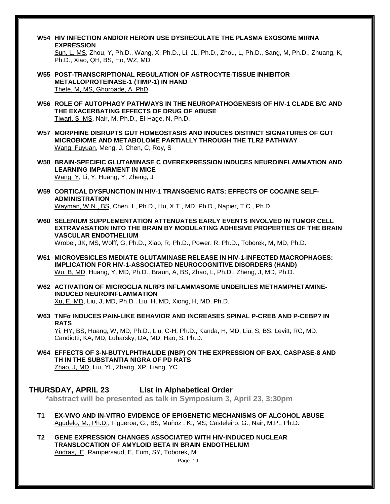**W54 HIV INFECTION AND/OR HEROIN USE DYSREGULATE THE PLASMA EXOSOME MIRNA EXPRESSION**

Sun, L, MS, Zhou, Y, Ph.D., Wang, X, Ph.D., Li, JL, Ph.D., Zhou, L, Ph.D., Sang, M, Ph.D., Zhuang, K, Ph.D., Xiao, QH, BS, Ho, WZ, MD

- **W55 POST-TRANSCRIPTIONAL REGULATION OF ASTROCYTE-TISSUE INHIBITOR METALLOPROTEINASE-1 (TIMP-1) IN HAND** Thete, M, MS, Ghorpade, A. PhD
- **W56 ROLE OF AUTOPHAGY PATHWAYS IN THE NEUROPATHOGENESIS OF HIV-1 CLADE B/C AND THE EXACERBATING EFFECTS OF DRUG OF ABUSE** Tiwari, S, MS, Nair, M, Ph.D., El-Hage, N, Ph.D.
- **W57 MORPHINE DISRUPTS GUT HOMEOSTASIS AND INDUCES DISTINCT SIGNATURES OF GUT MICROBIOME AND METABOLOME PARTIALLY THROUGH THE TLR2 PATHWAY** Wang, Fuyuan, Meng, J, Chen, C, Roy, S
- **W58 BRAIN-SPECIFIC GLUTAMINASE C OVEREXPRESSION INDUCES NEUROINFLAMMATION AND LEARNING IMPAIRMENT IN MICE** Wang, Y, Li, Y, Huang, Y, Zheng, J
- **W59 CORTICAL DYSFUNCTION IN HIV-1 TRANSGENIC RATS: EFFECTS OF COCAINE SELF-ADMINISTRATION** Wayman, W.N., BS, Chen, L, Ph.D., Hu, X.T., MD, Ph.D., Napier, T.C., Ph.D.
- **W60 SELENIUM SUPPLEMENTATION ATTENUATES EARLY EVENTS INVOLVED IN TUMOR CELL EXTRAVASATION INTO THE BRAIN BY MODULATING ADHESIVE PROPERTIES OF THE BRAIN VASCULAR ENDOTHELIUM**

Wrobel, JK, MS, Wolff, G, Ph.D., Xiao, R, Ph.D., Power, R, Ph.D., Toborek, M, MD, Ph.D.

- **W61 MICROVESICLES MEDIATE GLUTAMINASE RELEASE IN HIV-1-INFECTED MACROPHAGES: IMPLICATION FOR HIV-1-ASSOCIATED NEUROCOGNITIVE DISORDERS (HAND)** Wu, B, MD, Huang, Y, MD, Ph.D., Braun, A, BS, Zhao, L, Ph.D., Zheng, J, MD, Ph.D.
- **W62 ACTIVATION OF MICROGLIA NLRP3 INFLAMMASOME UNDERLIES METHAMPHETAMINE-INDUCED NEUROINFLAMMATION** Xu, E, MD, Liu, J, MD, Ph.D., Liu, H, MD, Xiong, H, MD, Ph.D.
- **W63 TNFα INDUCES PAIN-LIKE BEHAVIOR AND INCREASES SPINAL P-CREB AND P-CEBP? IN RATS** Yi, HY, BS, Huang, W, MD, Ph.D., Liu, C-H, Ph.D., Kanda, H, MD, Liu, S, BS, Levitt, RC, MD, Candiotti, KA, MD, Lubarsky, DA, MD, Hao, S, Ph.D.
- **W64 EFFECTS OF 3-N-BUTYLPHTHALIDE (NBP) ON THE EXPRESSION OF BAX, CASPASE-8 AND TH IN THE SUBSTANTIA NIGRA OF PD RATS** Zhao, J, MD, Liu, YL, Zhang, XP, Liang, YC

#### **THURSDAY, APRIL 23 List in Alphabetical Order**

**\*abstract will be presented as talk in Symposium 3, April 23, 3:30pm**

- **T1 EX-VIVO AND IN-VITRO EVIDENCE OF EPIGENETIC MECHANISMS OF ALCOHOL ABUSE** Agudelo, M., Ph.D., Figueroa, G., BS, Muñoz , K., MS, Casteleiro, G., Nair, M.P., Ph.D.
- **T2 GENE EXPRESSION CHANGES ASSOCIATED WITH HIV-INDUCED NUCLEAR TRANSLOCATION OF AMYLOID BETA IN BRAIN ENDOTHELIUM** Andras, IE, Rampersaud, E, Eum, SY, Toborek, M

Page 19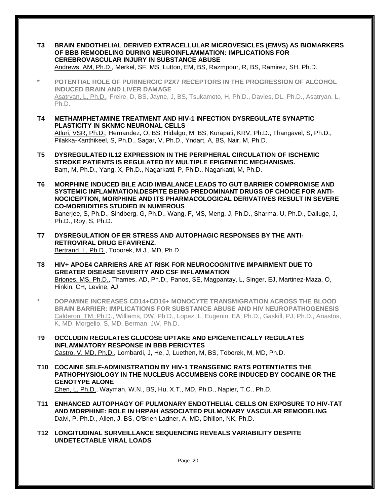Page 20 **T3 BRAIN ENDOTHELIAL DERIVED EXTRACELLULAR MICROVESICLES (EMVS) AS BIOMARKERS OF BBB REMODELING DURING NEUROINFLAMMATION: IMPLICATIONS FOR CEREBROVASCULAR INJURY IN SUBSTANCE ABUSE** Andrews, AM, Ph.D., Merkel, SF, MS, Lutton, EM, BS, Razmpour, R, BS, Ramirez, SH, Ph.D. **\* POTENTIAL ROLE OF PURINERGIC P2X7 RECEPTORS IN THE PROGRESSION OF ALCOHOL INDUCED BRAIN AND LIVER DAMAGE** Asatryan, L, Ph.D., Freire, D, BS, Jayne, J, BS, Tsukamoto, H, Ph.D., Davies, DL, Ph.D., Asatryan, L, Ph.D. **T4 METHAMPHETAMINE TREATMENT AND HIV-1 INFECTION DYSREGULATE SYNAPTIC PLASTICITY IN SKNMC NEURONAL CELLS** Atluri, VSR, Ph.D., Hernandez, O, BS, Hidalgo, M, BS, Kurapati, KRV, Ph.D., Thangavel, S, Ph.D., Pilakka-Kanthikeel, S, Ph.D., Sagar, V, Ph.D., Yndart, A, BS, Nair, M, Ph.D. **T5 DYSREGULATED IL12 EXPRESSION IN THE PERIPHERAL CIRCULATION OF ISCHEMIC STROKE PATIENTS IS REGULATED BY MULTIPLE EPIGENETIC MECHANISMS.** Bam, M, Ph.D., Yang, X, Ph.D., Nagarkatti, P, Ph.D., Nagarkatti, M, Ph.D. **T6 MORPHINE INDUCED BILE ACID IMBALANCE LEADS TO GUT BARRIER COMPROMISE AND SYSTEMIC INFLAMMATION.DESPITE BEING PREDOMINANT DRUGS OF CHOICE FOR ANTI-NOCICEPTION, MORPHINE AND ITS PHARMACOLOGICAL DERIVATIVES RESULT IN SEVERE CO-MORBIDITIES STUDIED IN NUMEROUS** Banerjee, S, Ph.D., Sindberg, G, Ph.D., Wang, F, MS, Meng, J, Ph.D., Sharma, U, Ph.D., Dalluge, J, Ph.D., Roy, S, Ph.D. **T7 DYSREGULATION OF ER STRESS AND AUTOPHAGIC RESPONSES BY THE ANTI-RETROVIRAL DRUG EFAVIRENZ.** Bertrand, L, Ph.D., Toborek, M.J., MD, Ph.D. **T8 HIV+ APOE4 CARRIERS ARE AT RISK FOR NEUROCOGNITIVE IMPAIRMENT DUE TO GREATER DISEASE SEVERITY AND CSF INFLAMMATION** Briones, MS, Ph.D., Thames, AD, Ph.D., Panos, SE, Magpantay, L, Singer, EJ, Martinez-Maza, O, Hinkin, CH, Levine, AJ **\* DOPAMINE INCREASES CD14+CD16+ MONOCYTE TRANSMIGRATION ACROSS THE BLOOD BRAIN BARRIER: IMPLICATIONS FOR SUBSTANCE ABUSE AND HIV NEUROPATHOGENESIS** Calderon, TM, Ph.D., Williams, DW, Ph.D., Lopez, L, Eugenin, EA, Ph.D., Gaskill, PJ, Ph.D., Anastos, K, MD, Morgello, S, MD, Berman, JW, Ph.D. **T9 OCCLUDIN REGULATES GLUCOSE UPTAKE AND EPIGENETICALLY REGULATES INFLAMMATORY RESPONSE IN BBB PERICYTES** Castro, V, MD, Ph.D., Lombardi, J, He, J, Luethen, M, BS, Toborek, M, MD, Ph.D. **T10 COCAINE SELF-ADMINISTRATION BY HIV-1 TRANSGENIC RATS POTENTIATES THE PATHOPHYSIOLOGY IN THE NUCLEUS ACCUMBENS CORE INDUCED BY COCAINE OR THE GENOTYPE ALONE** Chen, L, Ph.D., Wayman, W.N., BS, Hu, X.T., MD, Ph.D., Napier, T.C., Ph.D. **T11 ENHANCED AUTOPHAGY OF PULMONARY ENDOTHELIAL CELLS ON EXPOSURE TO HIV-TAT AND MORPHINE: ROLE IN HRPAH ASSOCIATED PULMONARY VASCULAR REMODELING** Dalvi, P, Ph.D., Allen, J, BS, O'Brien Ladner, A, MD, Dhillon, NK, Ph.D. **T12 LONGITUDINAL SURVEILLANCE SEQUENCING REVEALS VARIABILITY DESPITE UNDETECTABLE VIRAL LOADS**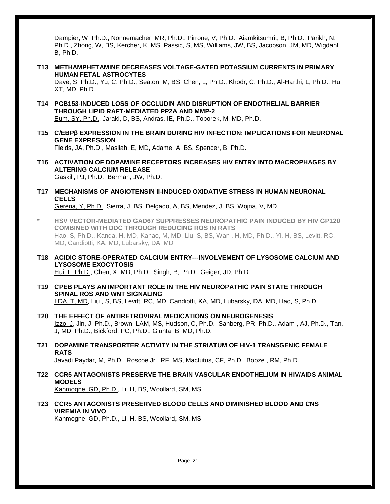Dampier, W, Ph.D., Nonnemacher, MR, Ph.D., Pirrone, V, Ph.D., Aiamkitsumrit, B, Ph.D., Parikh, N, Ph.D., Zhong, W, BS, Kercher, K, MS, Passic, S, MS, Williams, JW, BS, Jacobson, JM, MD, Wigdahl, B, Ph.D.

**T13 METHAMPHETAMINE DECREASES VOLTAGE-GATED POTASSIUM CURRENTS IN PRIMARY HUMAN FETAL ASTROCYTES**

Dave, S, Ph.D., Yu, C, Ph.D., Seaton, M, BS, Chen, L, Ph.D., Khodr, C, Ph.D., Al-Harthi, L, Ph.D., Hu, XT, MD, Ph.D.

**T14 PCB153-INDUCED LOSS OF OCCLUDIN AND DISRUPTION OF ENDOTHELIAL BARRIER THROUGH LIPID RAFT-MEDIATED PP2A AND MMP-2**

Eum, SY, Ph.D., Jaraki, D, BS, Andras, IE, Ph.D., Toborek, M, MD, Ph.D.

- **T15 C/EBPβ EXPRESSION IN THE BRAIN DURING HIV INFECTION: IMPLICATIONS FOR NEURONAL GENE EXPRESSION** Fields, JA, Ph.D., Masliah, E, MD, Adame, A, BS, Spencer, B, Ph.D.
- **T16 ACTIVATION OF DOPAMINE RECEPTORS INCREASES HIV ENTRY INTO MACROPHAGES BY ALTERING CALCIUM RELEASE** Gaskill, PJ, Ph.D., Berman, JW, Ph.D.
- **T17 MECHANISMS OF ANGIOTENSIN II-INDUCED OXIDATIVE STRESS IN HUMAN NEURONAL CELLS** Gerena, Y, Ph.D., Sierra, J, BS, Delgado, A, BS, Mendez, J, BS, Wojna, V, MD
- **\* HSV VECTOR-MEDIATED GAD67 SUPPRESSES NEUROPATHIC PAIN INDUCED BY HIV GP120 COMBINED WITH DDC THROUGH REDUCING ROS IN RATS** Hao, S, Ph.D., Kanda, H, MD, Kanao, M, MD, Liu, S, BS, Wan , H, MD, Ph.D., Yi, H, BS, Levitt, RC, MD, Candiotti, KA, MD, Lubarsky, DA, MD
- **T18 ACIDIC STORE-OPERATED CALCIUM ENTRY---INVOLVEMENT OF LYSOSOME CALCIUM AND LYSOSOME EXOCYTOSIS** Hui, L, Ph.D., Chen, X, MD, Ph.D., Singh, B, Ph.D., Geiger, JD, Ph.D.
- **T19 CPEB PLAYS AN IMPORTANT ROLE IN THE HIV NEUROPATHIC PAIN STATE THROUGH SPINAL ROS AND WNT SIGNALING** IIDA, T, MD, Liu , S, BS, Levitt, RC, MD, Candiotti, KA, MD, Lubarsky, DA, MD, Hao, S, Ph.D.
- **T20 THE EFFECT OF ANTIRETROVIRAL MEDICATIONS ON NEUROGENESIS** Izzo, J, Jin, J, Ph.D., Brown, LAM, MS, Hudson, C, Ph.D., Sanberg, PR, Ph.D., Adam , AJ, Ph.D., Tan, J, MD, Ph.D., Bickford, PC, Ph.D., Giunta, B, MD, Ph.D.
- **T21 DOPAMINE TRANSPORTER ACTIVITY IN THE STRIATUM OF HIV-1 TRANSGENIC FEMALE RATS** Javadi Paydar, M, Ph.D., Roscoe Jr., RF, MS, Mactutus, CF, Ph.D., Booze , RM, Ph.D.
- **T22 CCR5 ANTAGONISTS PRESERVE THE BRAIN VASCULAR ENDOTHELIUM IN HIV/AIDS ANIMAL MODELS** Kanmogne, GD, Ph.D., Li, H, BS, Woollard, SM, MS
- **T23 CCR5 ANTAGONISTS PRESERVED BLOOD CELLS AND DIMINISHED BLOOD AND CNS VIREMIA IN VIVO**

Kanmogne, GD, Ph.D., Li, H, BS, Woollard, SM, MS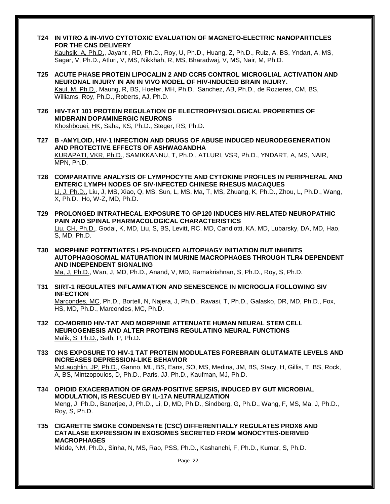- **T24 IN VITRO & IN-VIVO CYTOTOXIC EVALUATION OF MAGNETO-ELECTRIC NANOPARTICLES FOR THE CNS DELIVERY** Kauhsik, A, Ph.D., Jayant , RD, Ph.D., Roy, U, Ph.D., Huang, Z, Ph.D., Ruiz, A, BS, Yndart, A, MS, Sagar, V, Ph.D., Atluri, V, MS, Nikkhah, R, MS, Bharadwaj, V, MS, Nair, M, Ph.D.
- **T25 ACUTE PHASE PROTEIN LIPOCALIN 2 AND CCR5 CONTROL MICROGLIAL ACTIVATION AND NEURONAL INJURY IN AN IN VIVO MODEL OF HIV-INDUCED BRAIN INJURY.** Kaul, M, Ph.D., Maung, R, BS, Hoefer, MH, Ph.D., Sanchez, AB, Ph.D., de Rozieres, CM, BS, Williams, Roy, Ph.D., Roberts, AJ, Ph.D.
- **T26 HIV-TAT 101 PROTEIN REGULATION OF ELECTROPHYSIOLOGICAL PROPERTIES OF MIDBRAIN DOPAMINERGIC NEURONS** Khoshbouei, HK, Saha, KS, Ph.D., Steger, RS, Ph.D.
- **T27 Β -AMYLOID, HIV-1 INFECTION AND DRUGS OF ABUSE INDUCED NEURODEGENERATION AND PROTECTIVE EFFECTS OF ASHWAGANDHA** KURAPATI, VKR, Ph.D., SAMIKKANNU, T, Ph.D., ATLURI, VSR, Ph.D., YNDART, A, MS, NAIR, MPN, Ph.D.
- **T28 COMPARATIVE ANALYSIS OF LYMPHOCYTE AND CYTOKINE PROFILES IN PERIPHERAL AND ENTERIC LYMPH NODES OF SIV-INFECTED CHINESE RHESUS MACAQUES** Li, J, Ph.D., Liu, J, MS, Xiao, Q, MS, Sun, L, MS, Ma, T, MS, Zhuang, K, Ph.D., Zhou, L, Ph.D., Wang, X, Ph.D., Ho, W-Z, MD, Ph.D.
- **T29 PROLONGED INTRATHECAL EXPOSURE TO GP120 INDUCES HIV-RELATED NEUROPATHIC PAIN AND SPINAL PHARMACOLOGICAL CHARACTERISTICS** Liu, CH, Ph.D., Godai, K, MD, Liu, S, BS, Levitt, RC, MD, Candiotti, KA, MD, Lubarsky, DA, MD, Hao, S, MD, Ph.D.
- **T30 MORPHINE POTENTIATES LPS-INDUCED AUTOPHAGY INITIATION BUT INHIBITS AUTOPHAGOSOMAL MATURATION IN MURINE MACROPHAGES THROUGH TLR4 DEPENDENT AND INDEPENDENT SIGNALING** Ma, J, Ph.D., Wan, J, MD, Ph.D., Anand, V, MD, Ramakrishnan, S, Ph.D., Roy, S, Ph.D.

- **T31 SIRT-1 REGULATES INFLAMMATION AND SENESCENCE IN MICROGLIA FOLLOWING SIV INFECTION** Marcondes, MC, Ph.D., Bortell, N, Najera, J, Ph.D., Ravasi, T, Ph.D., Galasko, DR, MD, Ph.D., Fox, HS, MD, Ph.D., Marcondes, MC, Ph.D.
- **T32 CO-MORBID HIV-TAT AND MORPHINE ATTENUATE HUMAN NEURAL STEM CELL NEUROGENESIS AND ALTER PROTEINS REGULATING NEURAL FUNCTIONS** Malik, S, Ph.D., Seth, P, Ph.D.
- **T33 CNS EXPOSURE TO HIV-1 TAT PROTEIN MODULATES FOREBRAIN GLUTAMATE LEVELS AND INCREASES DEPRESSION-LIKE BEHAVIOR** McLaughlin, JP, Ph.D., Ganno, ML, BS, Eans, SO, MS, Medina, JM, BS, Stacy, H, Gillis, T, BS, Rock, A, BS, Mintzopoulos, D, Ph.D., Paris, JJ, Ph.D., Kaufman, MJ, Ph.D.
- **T34 OPIOID EXACERBATION OF GRAM-POSITIVE SEPSIS, INDUCED BY GUT MICROBIAL MODULATION, IS RESCUED BY IL-17A NEUTRALIZATION** Meng, J, Ph.D., Banerjee, J, Ph.D., Li, D, MD, Ph.D., Sindberg, G, Ph.D., Wang, F, MS, Ma, J, Ph.D., Roy, S, Ph.D.
- **T35 CIGARETTE SMOKE CONDENSATE (CSC) DIFFERENTIALLY REGULATES PRDX6 AND CATALASE EXPRESSION IN EXOSOMES SECRETED FROM MONOCYTES-DERIVED MACROPHAGES**

Midde, NM, Ph.D., Sinha, N, MS, Rao, PSS, Ph.D., Kashanchi, F, Ph.D., Kumar, S, Ph.D.

Page 22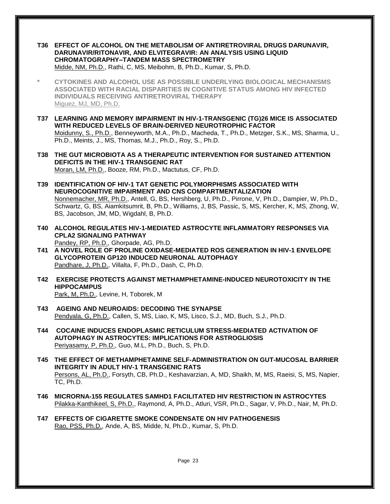- **T36 EFFECT OF ALCOHOL ON THE METABOLISM OF ANTIRETROVIRAL DRUGS DARUNAVIR, DARUNAVIR/RITONAVIR, AND ELVITEGRAVIR: AN ANALYSIS USING LIQUID CHROMATOGRAPHY–TANDEM MASS SPECTROMETRY** Midde, NM, Ph.D., Rathi, C, MS, Meibohm, B, Ph.D., Kumar, S, Ph.D.
- **\* CYTOKINES AND ALCOHOL USE AS POSSIBLE UNDERLYING BIOLOGICAL MECHANISMS ASSOCIATED WITH RACIAL DISPARITIES IN COGNITIVE STATUS AMONG HIV INFECTED INDIVIDUALS RECEIVING ANTIRETROVIRAL THERAPY** Miguez, MJ, MD, Ph.D.
- **T37 LEARNING AND MEMORY IMPAIRMENT IN HIV-1-TRANSGENIC (TG)26 MICE IS ASSOCIATED WITH REDUCED LEVELS OF BRAIN-DERIVED NEUROTROPHIC FACTOR** Moidunny, S., Ph.D., Benneyworth, M.A., Ph.D., Macheda, T., Ph.D., Metzger, S.K., MS, Sharma, U., Ph.D., Meints, J., MS, Thomas, M.J., Ph.D., Roy, S., Ph.D.
- **T38 THE GUT MICROBIOTA AS A THERAPEUTIC INTERVENTION FOR SUSTAINED ATTENTION DEFICITS IN THE HIV-1 TRANSGENIC RAT** Moran, LM, Ph.D., Booze, RM, Ph.D., Mactutus, CF, Ph.D.
- **T39 IDENTIFICATION OF HIV-1 TAT GENETIC POLYMORPHISMS ASSOCIATED WITH NEUROCOGNITIVE IMPAIRMENT AND CNS COMPARTMENTALIZATION** Nonnemacher, MR, Ph.D., Antell, G, BS, Hershberg, U, Ph.D., Pirrone, V, Ph.D., Dampier, W, Ph.D., Schwartz, G, BS, Aiamkitsumrit, B, Ph.D., Williams, J, BS, Passic, S, MS, Kercher, K, MS, Zhong, W, BS, Jacobson, JM, MD, Wigdahl, B, Ph.D.
- **T40 ALCOHOL REGULATES HIV-1-MEDIATED ASTROCYTE INFLAMMATORY RESPONSES VIA CPLA2 SIGNALING PATHWAY** Pandey, RP, Ph.D., Ghorpade, AG, Ph.D.
- **T41 A NOVEL ROLE OF PROLINE OXIDASE-MEDIATED ROS GENERATION IN HIV-1 ENVELOPE GLYCOPROTEIN GP120 INDUCED NEURONAL AUTOPHAGY** Pandhare, J, Ph.D., Villalta, F, Ph.D., Dash, C, Ph.D.
- **T42 EXERCISE PROTECTS AGAINST METHAMPHETAMINE-INDUCED NEUROTOXICITY IN THE HIPPOCAMPUS**
	- Park, M, Ph.D., Levine, H, Toborek, M
- **T43 AGEING AND NEUROAIDS: DECODING THE SYNAPSE** Pendyala, G, Ph.D., Callen, S, MS, Liao, K, MS, Lisco, S.J., MD, Buch, S.J., Ph.D.
- **T44 COCAINE INDUCES ENDOPLASMIC RETICULUM STRESS-MEDIATED ACTIVATION OF AUTOPHAGY IN ASTROCYTES: IMPLICATIONS FOR ASTROGLIOSIS** Periyasamy, P, Ph.D., Guo, M.L, Ph.D., Buch, S, Ph.D.
- **T45 THE EFFECT OF METHAMPHETAMINE SELF-ADMINISTRATION ON GUT-MUCOSAL BARRIER INTEGRITY IN ADULT HIV-1 TRANSGENIC RATS** Persons, AL, Ph.D., Forsyth, CB, Ph.D., Keshavarzian, A, MD, Shaikh, M, MS, Raeisi, S, MS, Napier, TC, Ph.D.
- **T46 MICRORNA-155 REGULATES SAMHD1 FACILITATED HIV RESTRICTION IN ASTROCYTES** Pilakka-Kanthikeel, S, Ph.D., Raymond, A, Ph.D., Atluri, VSR, Ph.D., Sagar, V, Ph.D., Nair, M, Ph.D.
- **T47 EFFECTS OF CIGARETTE SMOKE CONDENSATE ON HIV PATHOGENESIS** Rao, PSS, Ph.D., Ande, A, BS, Midde, N, Ph.D., Kumar, S, Ph.D.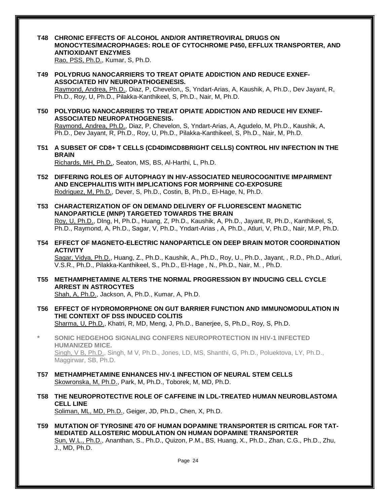**T48 CHRONIC EFFECTS OF ALCOHOL AND/OR ANTIRETROVIRAL DRUGS ON MONOCYTES/MACROPHAGES: ROLE OF CYTOCHROME P450, EFFLUX TRANSPORTER, AND ANTIOXIDANT ENZYMES**

Rao, PSS, Ph.D., Kumar, S, Ph.D.

**T49 POLYDRUG NANOCARRIERS TO TREAT OPIATE ADDICTION AND REDUCE EXNEF-ASSOCIATED HIV NEUROPATHOGENESIS.**

Raymond, Andrea, Ph.D., Diaz, P, Chevelon,, S, Yndart-Arias, A, Kaushik, A, Ph.D., Dev Jayant, R, Ph.D., Roy, U, Ph.D., Pilakka-Kanthikeel, S, Ph.D., Nair, M, Ph.D.

**T50 POLYDRUG NANOCARRIERS TO TREAT OPIATE ADDICTION AND REDUCE HIV EXNEF-ASSOCIATED NEUROPATHOGENESIS.**

Raymond, Andrea, Ph.D., Diaz, P, Chevelon, S, Yndart-Arias, A, Agudelo, M, Ph.D., Kaushik, A, Ph.D., Dev Jayant, R, Ph.D., Roy, U, Ph.D., Pilakka-Kanthikeel, S, Ph.D., Nair, M, Ph.D.

- **T51 A SUBSET OF CD8+ T CELLS (CD4DIMCD8BRIGHT CELLS) CONTROL HIV INFECTION IN THE BRAIN** Richards, MH, Ph.D., Seaton, MS, BS, Al-Harthi, L, Ph.D.
- **T52 DIFFERING ROLES OF AUTOPHAGY IN HIV-ASSOCIATED NEUROCOGNITIVE IMPAIRMENT AND ENCEPHALITIS WITH IMPLICATIONS FOR MORPHINE CO-EXPOSURE** Rodriguez, M, Ph.D., Dever, S, Ph.D., Costin, B, Ph.D., El-Hage, N, Ph.D.
- **T53 CHARACTERIZATION OF ON DEMAND DELIVERY OF FLUORESCENT MAGNETIC NANOPARTICLE (MNP) TARGETED TOWARDS THE BRAIN** Roy, U, Ph.D., DIng, H, Ph.D., Huang, Z, Ph.D., Kaushik, A, Ph.D., Jayant, R, Ph.D., Kanthikeel, S,

Ph.D., Raymond, A, Ph.D., Sagar, V, Ph.D., Yndart-Arias , A, Ph.D., Atluri, V, Ph.D., Nair, M.P, Ph.D.

**T54 EFFECT OF MAGNETO-ELECTRIC NANOPARTICLE ON DEEP BRAIN MOTOR COORDINATION ACTIVITY**

Sagar, Vidya, Ph.D., Huang, Z., Ph.D., Kaushik, A., Ph.D., Roy, U., Ph.D., Jayant, , R.D., Ph.D., Atluri, V.S.R., Ph.D., Pilakka-Kanthikeel, S., Ph.D., El-Hage , N., Ph.D., Nair, M. , Ph.D.

**T55 METHAMPHETAMINE ALTERS THE NORMAL PROGRESSION BY INDUCING CELL CYCLE ARREST IN ASTROCYTES**

Shah, A, Ph.D., Jackson, A, Ph.D., Kumar, A, Ph.D.

- **T56 EFFECT OF HYDROMORPHONE ON GUT BARRIER FUNCTION AND IMMUNOMODULATION IN THE CONTEXT OF DSS INDUCED COLITIS** Sharma, U, Ph.D., Khatri, R, MD, Meng, J, Ph.D., Banerjee, S, Ph.D., Roy, S, Ph.D.
- **\* SONIC HEDGEHOG SIGNALING CONFERS NEUROPROTECTION IN HIV-1 INFECTED HUMANIZED MICE.** Singh, V B, Ph.D., Singh, M V, Ph.D., Jones, LD, MS, Shanthi, G, Ph.D., Poluektova, LY, Ph.D., Maggirwar, SB, Ph.D.
- **T57 METHAMPHETAMINE ENHANCES HIV-1 INFECTION OF NEURAL STEM CELLS** Skowronska, M, Ph.D., Park, M, Ph.D., Toborek, M, MD, Ph.D.
- **T58 THE NEUROPROTECTIVE ROLE OF CAFFEINE IN LDL-TREATED HUMAN NEUROBLASTOMA CELL LINE** Soliman, ML, MD, Ph.D., Geiger, JD, Ph.D., Chen, X, Ph.D.
- **T59 MUTATION OF TYROSINE 470 OF HUMAN DOPAMINE TRANSPORTER IS CRITICAL FOR TAT-MEDIATED ALLOSTERIC MODULATION ON HUMAN DOPAMINE TRANSPORTER** Sun, W.L., Ph.D., Ananthan, S., Ph.D., Quizon, P.M., BS, Huang, X., Ph.D., Zhan, C.G., Ph.D., Zhu, J., MD, Ph.D.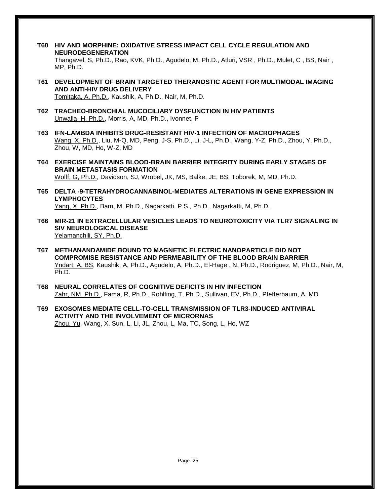- **T60 HIV AND MORPHINE: OXIDATIVE STRESS IMPACT CELL CYCLE REGULATION AND NEURODEGENERATION** Thangavel, S, Ph.D., Rao, KVK, Ph.D., Agudelo, M, Ph.D., Atluri, VSR , Ph.D., Mulet, C , BS, Nair , MP, Ph.D.
- **T61 DEVELOPMENT OF BRAIN TARGETED THERANOSTIC AGENT FOR MULTIMODAL IMAGING AND ANTI-HIV DRUG DELIVERY** Tomitaka, A, Ph.D., Kaushik, A, Ph.D., Nair, M, Ph.D.
- **T62 TRACHEO-BRONCHIAL MUCOCILIARY DYSFUNCTION IN HIV PATIENTS** Unwalla, H, Ph.D., Morris, A, MD, Ph.D., Ivonnet, P
- **T63 IFN-LAMBDA INHIBITS DRUG-RESISTANT HIV-1 INFECTION OF MACROPHAGES** Wang, X, Ph.D., Liu, M-Q, MD, Peng, J-S, Ph.D., Li, J-L, Ph.D., Wang, Y-Z, Ph.D., Zhou, Y, Ph.D., Zhou, W, MD, Ho, W-Z, MD
- **T64 EXERCISE MAINTAINS BLOOD-BRAIN BARRIER INTEGRITY DURING EARLY STAGES OF BRAIN METASTASIS FORMATION** Wolff, G, Ph.D., Davidson, SJ, Wrobel, JK, MS, Balke, JE, BS, Toborek, M, MD, Ph.D.
- **T65 DELTA -9-TETRAHYDROCANNABINOL-MEDIATES ALTERATIONS IN GENE EXPRESSION IN LYMPHOCYTES** Yang, X, Ph.D., Bam, M, Ph.D., Nagarkatti, P.S., Ph.D., Nagarkatti, M, Ph.D.
- **T66 MIR-21 IN EXTRACELLULAR VESICLES LEADS TO NEUROTOXICITY VIA TLR7 SIGNALING IN SIV NEUROLOGICAL DISEASE** Yelamanchili, SY, Ph.D.
- **T67 METHANANDAMIDE BOUND TO MAGNETIC ELECTRIC NANOPARTICLE DID NOT COMPROMISE RESISTANCE AND PERMEABILITY OF THE BLOOD BRAIN BARRIER** Yndart, A, BS, Kaushik, A, Ph.D., Agudelo, A, Ph.D., El-Hage , N, Ph.D., Rodriguez, M, Ph.D., Nair, M, Ph.D.
- **T68 NEURAL CORRELATES OF COGNITIVE DEFICITS IN HIV INFECTION** Zahr, NM, Ph.D., Fama, R, Ph.D., Rohlfing, T, Ph.D., Sullivan, EV, Ph.D., Pfefferbaum, A, MD
- **T69 EXOSOMES MEDIATE CELL-TO-CELL TRANSMISSION OF TLR3-INDUCED ANTIVIRAL ACTIVITY AND THE INVOLVEMENT OF MICRORNAS** Zhou, Yu, Wang, X, Sun, L, Li, JL, Zhou, L, Ma, TC, Song, L, Ho, WZ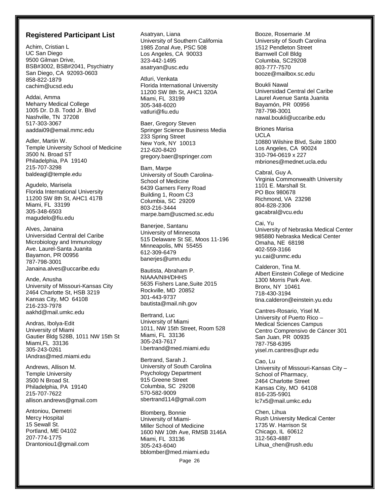#### **Registered Participant List**

Achim, Cristian L UC San Diego 9500 Gilman Drive, BSB#3002, BSB#2041, Psychiatry San Diego, CA 92093-0603 858-822-1879 cachim@ucsd.edu

Addai, Amma Meharry Medical College 1005 Dr. D.B. Todd Jr. Blvd Nashville, TN 37208 517-303-3067 aaddai09@email.mmc.edu

Adler, Martin W. Temple University School of Medicine 3500 N. Broad ST Philadelphia, PA 19140 215-707-3298 baldeagl@temple.edu

Agudelo, Marisela Florida International University 11200 SW 8th St, AHC1 417B Miami, FL 33199 305-348-6503 magudelo@fiu.edu

Alves, Janaina Universidad Central del Caribe Microbiology and Immunology Ave. Laurel-Santa Juanita Bayamon, PR 00956 787-798-3001 Janaina.alves@uccaribe.edu

Ande, Anusha University of Missouri-Kansas City 2464 Charlotte St, HSB 3219 Kansas City, MO 64108 216-233-7978 aakhd@mail.umkc.edu

Andras, Ibolya-Edit University of Miami Gautier Bldg 528B, 1011 NW 15th St Miami,FL 33136 305-243-0261 IAndras@med.miami.edu

Andrews, Allison M. Temple University 3500 N Broad St. Philadelphia, PA 19140 215-707-7622 allison.andrews@gmail.com

Antoniou, Demetri Mercy Hospital 15 Sewall St. Portland, ME 04102 207-774-1775 Drantoniou1@gmail.com Asatryan, Liana University of Southern California 1985 Zonal Ave, PSC 508 Los Angeles, CA 90033 323-442-1495 asatryan@usc.edu

Atluri, Venkata Florida International University 11200 SW 8th St, AHC1 320A Miami, FL 33199 305-348-6020 vatluri@fiu.edu

Baer, Gregory Steven Springer Science Business Media 233 Spring Street New York, NY 10013 212-620-8420 gregory.baer@springer.com

Bam, Marpe University of South Carolina-School of Medicine 6439 Garners Ferry Road Building 1, Room C3 Columbia, SC 29209 803-216-3444 marpe.bam@uscmed.sc.edu

Banerjee, Santanu University of Minnesota 515 Delaware St SE, Moos 11-196 Minneapolis, MN 55455 612-309-6479 banerjes@umn.edu

Bautista, Abraham P. NIAAA/NIH/DHHS 5635 Fishers Lane,Suite 2015 Rockville, MD 20852 301-443-9737 bautista@mail.nih.gov

Bertrand, Luc University of Miami 1011, NW 15th Street, Room 528 Miami, FL 33136 305-243-7617 l.bertrand@med.miami.edu

Bertrand, Sarah J. University of South Carolina Psychology Department 915 Greene Street Columbia, SC 29208 570-582-9009 sbertrand114@gmail.com

Page 26 Blomberg, Bonnie University of Miami-Miller School of Medicine 1600 NW 10th Ave, RMSB 3146A Miami, FL 33136 305-243-6040 bblomber@med.miami.edu

Booze, Rosemarie .M University of South Carolina 1512 Pendleton Street Barnwell Coll Bldg Columbia, SC29208 803-777-7570 booze@mailbox.sc.edu

Boukli Nawal Universidad Central del Caribe Laurel Avenue Santa Juanita Bayamón, PR 00956 787-798-3001 nawal.boukli@uccaribe.edu

Briones Marisa UCLA 10880 Wilshire Blvd, Suite 1800 Los Angeles, CA 90024 310-794-0619 x 227 mbriones@mednet.ucla.edu

Cabral, Guy A. Virginia Commonwealth University 1101 E. Marshall St. PO Box 980678 Richmond, VA 23298 804-828-2306 gacabral@vcu.edu

Cai, Yu University of Nebraska Medical Center 985880 Nebraska Medical Center Omaha, NE 68198 402-559-3166 yu.cai@unmc.edu

Calderon, Tina M. Albert Einstein College of Medicine 1300 Morris Park Ave. Bronx, NY 10461 718-430-3194 tina.calderon@einstein.yu.edu

Cantres-Rosario, Yisel M. University of Puerto Rico – Medical Sciences Campus Centro Comprensivo de Cáncer 301 San Juan, PR 00935 787-758-6395 yisel.m.cantres@upr.edu

Cao, Lu University of Missouri-Kansas City – School of Pharmacy, 2464 Charlotte Street Kansas City, MO 64108 816-235-5901 lc7x5@mail.umkc.edu

Chen, Lihua Rush University Medical Center 1735 W. Harrison St Chicago, IL 60612 312-563-4887 Lihua\_chen@rush.edu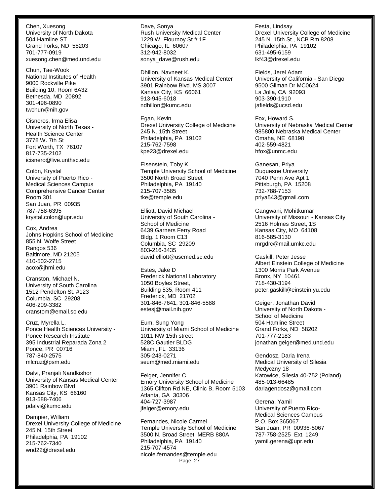Chen, Xuesong University of North Dakota 504 Hamline ST Grand Forks, ND 58203 701-777-0919 xuesong.chen@med.und.edu

Chun, Tae-Wook National Institutes of Health 9000 Rockville Pike Building 10, Room 6A32 Bethesda, MD 20892 301-496-0890 twchun@nih.gov

Cisneros, Irma Elisa University of North Texas - Health Science Center 3778 W. 7th St Fort Worth, TX 76107 817-735-2102 icisnero@live.unthsc.edu

Colón, Krystal University of Puerto Rico - Medical Sciences Campus Comprehensive Cancer Center Room 301 San Juan, PR 00935 787-758-6395 krystal.colon@upr.edu

Cox, Andrea Johns Hopkins School of Medicine 855 N. Wolfe Street Rangos 536 Baltimore, MD 21205 410-502-2715 acox@jhmi.edu

Cranston, Michael N. University of South Carolina 1512 Pendelton St. #123 Columbia, SC 29208 406-209-3382 cranstom@email.sc.edu

Cruz, Myrella L. Ponce Health Sciences University - Ponce Research Institute 395 Industrial Reparada Zona 2 Ponce, PR 00716 787-840-2575 mlcruz@psm.edu

Dalvi, Pranjali Nandkishor University of Kansas Medical Center 3901 Rainbow Blvd Kansas City, KS 66160 913-588-7406 pdalvi@kumc.edu

Dampier, William Drexel University College of Medicine 245 N. 15th Street Philadelphia, PA 19102 215-762-7340 wnd22@drexel.edu

Dave, Sonya Rush University Medical Center 1229 W. Flournoy St # 1F Chicago, IL 60607 312-942-8032 sonya\_dave@rush.edu

Dhillon, Navneet K. University of Kansas Medical Center 3901 Rainbow Blvd. MS 3007 Kansas City, KS 66061 913-945-6018 ndhillon@kumc.edu

Egan, Kevin Drexel University College of Medicine 245 N. 15th Street Philadelphia, PA 19102 215-762-7598 kpe23@drexel.edu

Eisenstein, Toby K. Temple University School of Medicine 3500 North Broad Street Philadelphia, PA 19140 215-707-3585 tke@temple.edu

Elliott, David Michael University of South Carolina - School of Medicine 6439 Garners Ferry Road Bldg. 1 Room C13 Columbia, SC 29209 803-216-3435 david.elliott@uscmed.sc.edu

Estes, Jake D Frederick National Laboratory 1050 Boyles Street, Building 535, Room 411 Frederick, MD 21702 301-846-7641, 301-846-5588 estesj@mail.nih.gov

Eum, Sung Yong University of Miami School of Medicine 1011 NW 15th street 528C Gautier BLDG Miami, FL 33136 305-243-0271 seum@med.miami.edu

Felger, Jennifer C. Emory University School of Medicine 1365 Clifton Rd NE, Clinic B, Room 5103 Atlanta, GA 30306 404-727-3987 jfelger@emory.edu

Page 27 Fernandes, Nicole Carmel Temple University School of Medicine 3500 N. Broad Street, MERB 880A Philadelphia, PA 19140 215-707-4574 nicole.fernandes@temple.edu

Festa, Lindsay Drexel University College of Medicine 245 N. 15th St., NCB Rm 8208 Philadelphia, PA 19102 631-495-6159 lkf43@drexel.edu

Fields, Jerel Adam University of California - San Diego 9500 Gilman Dr MC0624 La Jolla, CA 92093 903-390-1910 jafields@ucsd.edu

Fox, Howard S. University of Nebraska Medical Center 985800 Nebraska Medical Center Omaha, NE 68198 402-559-4821 hfox@unmc.edu

Ganesan, Priya Duquesne University 7040 Penn Ave Apt 1 Pittsburgh, PA 15208 732-788-7153 priya543@gmail.com

Gangwani, Mohitkumar University of Missouri - Kansas City 2516 Holmes Street, 1S Kansas City, MO 64108 816-585-3130 mrgdrc@mail.umkc.edu

Gaskill, Peter Jesse Albert Einstein College of Medicine 1300 Morris Park Avenue Bronx, NY 10461 718-430-3194 peter.gaskill@einstein.yu.edu

Geiger, Jonathan David University of North Dakota - School of Medicine 504 Hamline Street Grand Forks, ND 58202 701-777-2183 jonathan.geiger@med.und.edu

Gendosz, Daria Irena Medical University of Silesia Medyczny 18 Katowice, Silesia 40-752 (Poland) 485-013-66485 dariagendosz@gmail.com

Gerena, Yamil University of Puerto Rico-Medical Sciences Campus P.O. Box 365067 San Juan, PR 00936-5067 787-758-2525 Ext. 1249 yamil.gerena@upr.edu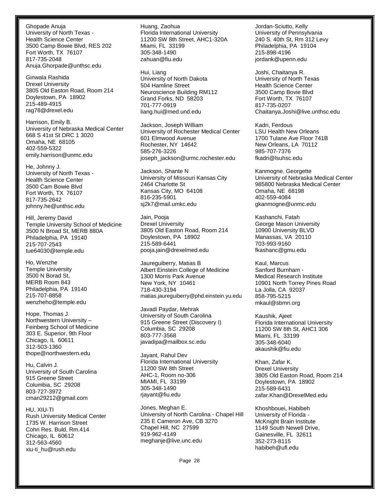Ghopade Anuja University of North Texas - Health Science Center 3500 Camp Bowie Blvd, RES 202 Fort Worth, TX 76107 817-735-2048 Anuja.Ghorpade@unthsc.edu

Ginwala Rashida Drexel University 3805 Old Easton Road, Room 214 Doylestown, PA 18902 215-489-4915 rag78@drexel.edu

Harrison, Emily B. University of Nebraska Medical Center 668 S 41st St DRC 1 3020 Omaha, NE 68105 402-559-5322 emily.harrison@unmc.edu

He, Johnny J. University of North Texas - Health Science Center 3500 Cam Bowie Blvd Fort Worth, TX 76107 817-735-2642 johnny.he@unthsc.edu

Hill, Jeremy David Temple University School of Medicine 3500 N Broad St, MERB 880A Philadelphia, PA 19140 215-707-2543 tue64030@temple.edu

Ho, Wenzhe Temple University 3500 N Borad St, MERB Room 843 Philadelphia, PA 19140 215-707-8858 wenzheho@temple.edu

Hope, Thomas J. Northwestern University – Feinberg School of Medicine 303 E. Superior, 9th Floor Chicago, IL 60611 312-503-1360 thope@northwestern.edu

Hu, Calvin J. University of South Carolina 915 Greene Street Columbia, SC 29208 803-727-3972 cman29212@gmail.com

HU, XIU-TI Rush University Medical Center 1735 W. Harrison Street Cohn Res. Buld, Rm.414 Chicago, IL 60612 312-563-4560 xiu-ti\_hu@rush.edu

Huang, Zaohua Florida International University 11200 SW 8th Street, AHC1-320A Miami, FL 33199 305-348-1490 zahuan@fiu.edu

Hui, Liang University of North Dakota 504 Hamline Street Neuroscience Building RM112 Grand Forks, ND 58203 701-777-0919 liang.hui@med.und.edu

Jackson, Joseph William University of Rochester Medical Center 601 Elmwood Avenue Rochester, NY 14642 585-276-3226 joseph\_jackson@urmc.rochester.edu

Jackson, Shante N University of Missouri Kansas City 2464 Charlotte St Kansas City, MO 64108 816-235-5901 sj2k7@mail.umkc.edu

Jain, Pooja Drexel University 3805 Old Easton Road, Room 214 Doylestown, PA 18902 215-589-6441 pooja.jain@drexelmed.edu

Jaureguiberry, Matias B Albert Einstein College of Medicine 1300 Morris Park Avenue New York, NY 10461 718-430-3194 matias.jaureguiberry@phd.einstein.yu.edu

Javadi Paydar, Mehrak University of South Carolina 915 Greene Street (Discovery I) Columbia, SC 29208 803-777-3568 javadipa@mailbox.sc.edu

Jayant, Rahul Dev Florida International University 11200 SW 8th Street AHC-1, Room no-306 MIAMI, FL 33199 305-348-1490 rjayant@fiu.edu

Jones, Meghan E. University of North Carolina - Chapel Hill 235 E Cameron Ave, CB 3270 Chapel Hill, NC 27599 919-962-4149 meghanje@live.unc.edu

Jordan-Sciutto, Kelly University of Pennsylvania 240 S. 40th St, Rm 312 Levy Philadelphia, PA 19104 215-898-4196 jordank@upenn.edu

Joshi, Chaitanya R. University of North Texas Health Science Center 3500 Camp Bovie Blvd Fort Worth, TX 76107 817-735-0207 Chaitanya.Joshi@live.unthsc.edu

Kadri, Ferdous LSU Health New Orleans 1700 Tulane Ave Floor 741B New Orleans, LA 70112 985-707-7376 fkadri@lsuhsc.edu

Kanmogne, Georgette University of Nebraska Medical Center 985800 Nebraska Medical Center Omaha, NE 68198 402-559-4084 gkanmogne@unmc.edu

Kashanchi, Fatah George Mason University 10900 University BLVD Manassas, VA 20110 703-993-9160 fkashanc@gmu.edu

Kaul, Marcus Sanford Burnham - Medical Research Institute 10901 North Torrey Pines Road La Jolla, CA 92037 858-795-5215 mkaul@sbmri.org

Kaushik, Ajeet Florida International University 11200 SW 8th St, AHC1 306 Miami, FL 33199 305-348-6040 akaushik@fiu.edu

Khan, Zafar K. Drexel University 3805 Old Easton Road, Room 214 Doylestown, PA 18902 215-589-6431 zafar.Khan@DrexelMed.edu

Khoshbouei, Habibeh University of Florida - McKnight Brain Institute 1149 South Newell Drive, Gainesville, FL 32611 352-273-8115 habibeh@ufl.edu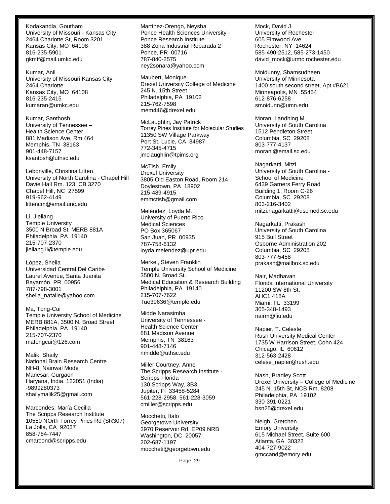Kodakandla, Goutham University of Missouri - Kansas City 2464 Charlotte St, Room 3201 Kansas City, MO 64108 816-235-5901 gkmtf@mail.umkc.edu

Kumar, Anil University of Missouri Kansas City 2464 Charlotte Kansas City, MO 64108 816-235-2415 kumaran@umkc.edu

Kumar, Santhosh University of Tennessee – Health Science Center 881 Madison Ave, Rm 464 Memphis, TN 38163 901-448-7157 ksantosh@uthsc.edu

Lebonville, Christina Litten University of North Carolina - Chapel Hill Davie Hall Rm. 123, CB 3270 Chapel Hill, NC 27599 919-962-4149 littencm@email.unc.edu

Li, Jieliang Temple University 3500 N Broad St, MERB 881A Philadelphia, PA 19140 215-707-2370 jieliang.li@temple.edu

López, Sheila Universidad Central Del Caribe Laurel Avenue, Santa Juanita Bayamón, PR 00956 787-798-3001 sheila\_natalie@yahoo.com

Ma, Tong-Cui Temple University School of Medicine MERB 881A, 3500 N. Broad Street Philadelphia, PA 19140 215-707-2370 matongcui@126.com

Malik, Shaily National Brain Research Centre NH-8, Nainwal Mode Manesar, Gurgaon Haryana, India 122051 (India) -9899280373 shailymalik25@gmail.com

Marcondes, María Cecilia The Scripps Research Institute 10550 NOrth Torrey Pines Rd (SR307) La Jolla, CA 92037 858-784-7447 cmarcond@scripps.edu

Martínez-Orengo, Neysha Ponce Health Sciences University - Ponce Research Institute 388 Zona Industrial Reparada 2 Ponce, PR 00716 787-840-2575 ney2sonara@yahoo.com

Maubert, Monique Drexel University College of Medicine 245 N. 15th Street Philadelphia, PA 19102 215-762-7598 mem446@drexel.edu

McLaughlin, Jay Patrick Torrey Pines Institute for Molecular Studies 11350 SW Village Parkway Port St. Lucie, CA 34987 772-345-4715 jmclaughlin@tpims.org

McTish, Emily Drexel University 3805 Old Easton Road, Room 214 Doylestown, PA 18902 215-489-4915 emmctish@gmail.com

Meléndez, Loyda M. University of Puerto Rico – Medical Sciences PO Box 365067 San Juan, PR 00935 787-758-6132 loyda.melendez@upr.edu

Merkel, Steven Franklin Temple University School of Medicine 3500 N. Broad St. Medical Education & Research Building Philadelphia, PA 19140 215-707-7622 Tue39636@temple.edu

Midde Narasimha University of Tennessee - Health Science Center 881 Madison Avenue Memphis, TN 38163 901-448-7146 nmidde@uthsc.edu

Miller Courtney, Anne The Scripps Research Institute - Scripps Florida 130 Scripps Way, 3B3, Jupiter, Fl 33458-5284 561-228-2958, 561-228-3059 cmiller@scripps.edu

Mocchetti, Italo Georgetown University 3970 Reservoir Rd, EP09 NRB Washington, DC 20057 202-687-1197 moccheti@georgetown.edu

Page 29

Mock, David J. University of Rochester 605 Elmwood Ave. Rochester, NY 14624 585-490-2512, 585-273-1450 david\_mock@urmc.rochester.edu

Moidunny, Shamsudheen University of Minnesota 1400 south second street, Apt #B621 Minneapolis, MN 55454 612-876-6258 smoidunn@umn.edu

Moran, Landhing M. University of South Carolina 1512 Pendleton Street Columbia, SC 29208 803-777-4137 moranl@email.sc.edu

Nagarkatti, Mitzi University of South Carolina - School of Medicine 6439 Garners Ferry Road Building 1, Room C-26 Columbia, SC 29208 803-216-3402 mitzi.nagarkatti@uscmed.sc.edu

Nagarkatti, Prakash University of South Carolina 915 Bull Street Osborne Administration 202 Columbia, SC 29208 803-777-5458 prakash@mailbox.sc.edu

Nair, Madhavan Florida International University 11200 SW 8th St, AHC1 418A Miami, FL 33199 305-348-1493 nairm@fiu.edu

Napier, T. Celeste Rush University Medical Center 1735 W Harrison Street, Cohn 424 Chicago, IL 60612 312-563-2428 celese\_napier@rush.edu

Nash, Bradley Scott Drexel University – College of Medicine 245 N. 15th St, NCB Rm. 8208 Philadelphia, PA 19102 330-391-0221 bsn25@drexel.edu

Neigh, Gretchen Emory University 615 Michael Street, Suite 600 Atlanta, GA 30322 404-727-9022 gmccand@emory.edu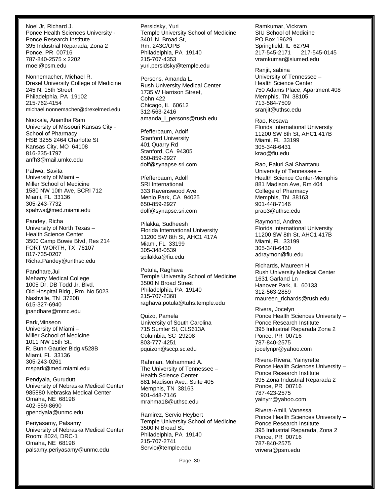Noel Jr, Richard J. Ponce Health Sciences University - Ponce Research Institute 395 Industrial Reparada, Zona 2 Ponce, PR 00716 787-840-2575 x 2202 rnoel@psm.edu

Nonnemacher, Michael R. Drexel University College of Medicine 245 N. 15th Street Philadelphia, PA 19102 215-762-4154 michael.nonnemacher@drexelmed.edu

Nookala, Anantha Ram University of Missouri Kansas City - School of Pharmacy HSB 3255 2464 Charlotte St Kansas City, MO 64108 816-235-1797 anfh3@mail.umkc.edu

Pahwa, Savita University of Miami – Miller School of Medicine 1580 NW 10th Ave, BCRI 712 Miami, FL 33136 305-243-7732 spahwa@med.miami.edu

Pandey, Richa University of North Texas – Health Science Center 3500 Camp Bowie Blvd, Res 214 FORT WORTH, TX 76107 817-735-0207 Richa.Pandey@unthsc.edu

Pandhare,Jui Meharry Medical College 1005 Dr. DB Todd Jr. Blvd. Old Hospital Bldg., Rm. No.5023 Nashville, TN 37208 615-327-6940 jpandhare@mmc.edu

Park,Minseon University of Miami – Miller School of Medicine 1011 NW 15th St., R. Bunn Gautier Bldg #528B Miami, FL 33136 305-243-0261 mspark@med.miami.edu

Pendyala, Gurudutt University of Nebraska Medical Center 985880 Nebraska Medical Center Omaha, NE 68198 402-559-8690 gpendyala@unmc.edu

Periyasamy, Palsamy University of Nebraska Medical Center Room: 8024, DRC-1 Omaha, NE 68198 palsamy.periyasamy@unmc.edu

Persidsky, Yuri Temple University School of Medicine 3401 N. Broad St, Rm. 243C/OPB Philadelphia, PA 19140 215-707-4353 yuri.persidsky@temple.edu

Persons, Amanda L. Rush University Medical Center 1735 W Harrison Street, Cohn 422 Chicago, IL 60612 312-563-2416 amanda\_l\_persons@rush.edu

Pfefferbaum, Adolf Stanford University 401 Quarry Rd Stanford, CA 94305 650-859-2927 dolf@synapse.sri.com

Pfefferbaum, Adolf SRI International 333 Ravenswood Ave. Menlo Park, CA 94025 650-859-2927 dolf@synapse.sri.com

Pilakka, Sudheesh Florida International University 11200 SW 8th St, AHC1 417A Miami, FL 33199 305-348-0539 spilakka@fiu.edu

Potula, Raghava Temple University School of Medicine 3500 N Broad Street Philadelphia, PA 19140 215-707-2368 raghava.potula@tuhs.temple.edu

Quizo, Pamela University of South Carolina 715 Sumter St, CLS613A Columbia, SC 29208 803-777-4251 pquizon@sccp.sc.edu

Rahman, Mohammad A. The University of Tennessee – Health Science Center 881 Madison Ave., Suite 405 Memphis, TN 38163 901-448-7146 mrahma18@uthsc.edu

Ramirez, Servio Heybert Temple University School of Medicine 3500 N Broad St. Philadelphia, PA 19140 215-707-2741 Servio@temple.edu

Ramkumar, Vickram SIU School of Medicine PO Box 19629 Springfield, IL 62794 217-545-2171 217-545-0145 vramkumar@siumed.edu

Ranjit, sabina University of Tennessee – Health Science Center 750 Adams Place, Apartment 408 Memphis, TN 38105 713-584-7509 sranjit@uthsc.edu

Rao, Kesava Florida International University 11200 SW 8th St, AHC1 417B Miami, FL 33199 305-348-6431 krao@fiu.edu

Rao, Paluri Sai Shantanu University of Tennessee – Health Science Center-Memphis 881 Madison Ave, Rm 404 College of Pharmacy Memphis, TN 38163 901-448-7146 prao3@uthsc.edu

Raymond, Andrea Florida International University 11200 SW 8th St, AHC1 417B Miami, FL 33199 305-348-6430 adraymon@fiu.edu

Richards, Maureen H. Rush University Medical Center 1631 Garland Ln Hanover Park, IL 60133 312-563-2859 maureen\_richards@rush.edu

Rivera, Jocelyn Ponce Health Sciences University – Ponce Research Institute 395 Industrial Reparada Zona 2 Ponce, PR 00716 787-840-2575 jocelynpr@yahoo.com

Rivera-Rivera, Yainyrette Ponce Health Sciences University – Ponce Research Institute 395 Zona Industrial Reparada 2 Ponce, PR 00716 787-423-2575 yainyrr@yahoo.com

Rivera-Amill, Vanessa Ponce Health Sciences University – Ponce Research Institute 395 Industrial Reparada, Zona 2 Ponce, PR 00716 787-840-2575 vrivera@psm.edu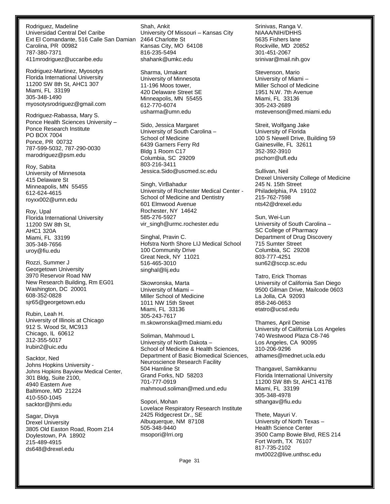Rodriguez, Madeline Universidad Central Del Caribe Ext El Comandante, 516 Calle San Damian 2464 Charlotte St Carolina, PR 00982 787-380-7371 411mrodriguez@uccaribe.edu

Rodriguez-Martinez, Myosotys Florida International University 11200 SW 8th St, AHC1 307 Miami, FL 33199 305-348-1490 myosotysrodriguez@gmail.com

Rodriguez-Rabassa, Mary S. Ponce Health Sciences University – Ponce Research Institute PO BOX 7004 Ponce, PR 00732 787-599-5032, 787-290-0030 marodriguez@psm.edu

Roy, Sabita University of Minnesota 415 Delaware St Minneapolis, MN 55455 612-624-4615 royxx002@umn.edu

Roy, Upal Florida International University 11200 SW 8th St, AHC1 320A Miami, FL 33199 305-348-7656 uroy@fiu.edu

Rozzi, Summer J Georgetown University 3970 Reservoir Road NW New Research Building, Rm EG01 Washington, DC 20001 608-352-0828 sjr65@georgetown.edu

Rubin, Leah H. University of Illinois at Chicago 912 S. Wood St, MC913 Chicago, IL 60612 312-355-5017 lrubin2@uic.edu

Sacktor, Ned Johns Hopkins University - Johns Hopkins Bayview Medical Center, 301 Bldg, Suite 2100, 4940 Eastern Ave Baltimore, MD 21224 410-550-1045 sacktor@jhmi.edu

Sagar, Divya Drexel University 3805 Old Easton Road, Room 214 Doylestown, PA 18902 215-489-4915 ds648@drexel.edu

Shah, Ankit University Of Missouri – Kansas City Kansas City, MO 64108 816-235-5494 shahank@umkc.edu

Sharma, Umakant University of Minnesota 11-196 Moos tower, 420 Delaware Street SE Minneapolis, MN 55455 612-770-6074 usharma@umn.edu

Sido, Jessica Margaret University of South Carolina – School of Medicine 6439 Garners Ferry Rd Bldg 1 Room C17 Columbia, SC 29209 803-216-3411 Jessica.Sido@uscmed.sc.edu

Singh, VirBahadur University of Rochester Medical Center - School of Medicine and Dentistry 601 Elmwood Avenue Rochester, NY 14642 585-276-5927 vir\_singh@urmc.rochester.edu

Singhal, Pravin C. Hofstra North Shore LIJ Medical School 100 Community Drive Great Neck, NY 11021 516-465-3010 singhal@lij.edu

Skowronska, Marta University of Miami – Miller School of Medicine 1011 NW 15th Street Miami, FL 33136 305-243-7617 m.skowronska@med.miami.edu

Soliman, Mahmoud L University of North Dakota – School of Medicine & Health Sciences, Department of Basic Biomedical Sciences, Neuroscience Research Facility 504 Hamline St Grand Forks, ND 58203 701-777-0919 mahmoud.soliman@med.und.edu

Sopori, Mohan Lovelace Respiratory Research Institute 2425 Ridgecrest Dr., SE Albuquerque, NM 87108 505-348-9440 msopori@lrri.org

Srinivas, Ranga V. NIAAA/NIH/DHHS 5635 Fishers lane Rockville, MD 20852 301-451-2067 srinivar@mail.nih.gov

Stevenson, Mario University of Miami – Miller School of Medicine 1951 N.W. 7th Avenue Miami, FL 33136 305-243-2689 mstevenson@med.miami.edu

Streit, Wolfgang Jake University of Florida 100 S Newell Drive, Building 59 Gainesville, FL 32611 352-392-3910 pschorr@ufl.edu

Sullivan, Neil Drexel University College of Medicine 245 N. 15th Street Philadelphia, PA 19102 215-762-7598 nts42@drexel.edu

Sun, Wei-Lun University of South Carolina – SC College of Pharmacy Department of Drug Discovery 715 Sumter Street Columbia, SC 29208 803-777-4251 sun62@sccp.sc.edu

Tatro, Erick Thomas University of California San Diego 9500 Gilman Drive, Mailcode 0603 La Jolla, CA 92093 858-246-0653 etatro@ucsd.edu

Thames, April Denise University of California Los Angeles 740 Westwood Plaza C8-746 Los Angeles, CA 90095 310-206-9296 athames@mednet.ucla.edu

Thangavel, Samikkannu Florida International University 11200 SW 8th St, AHC1 417B Miami, FL 33199 305-348-4978 sthangav@fiu.edu

Thete, Mayuri V. University of North Texas – Health Science Center 3500 Camp Bowie Blvd, RES 214 Fort Worth, TX 76107 817-735-2102 mvt0022@live.unthsc.edu